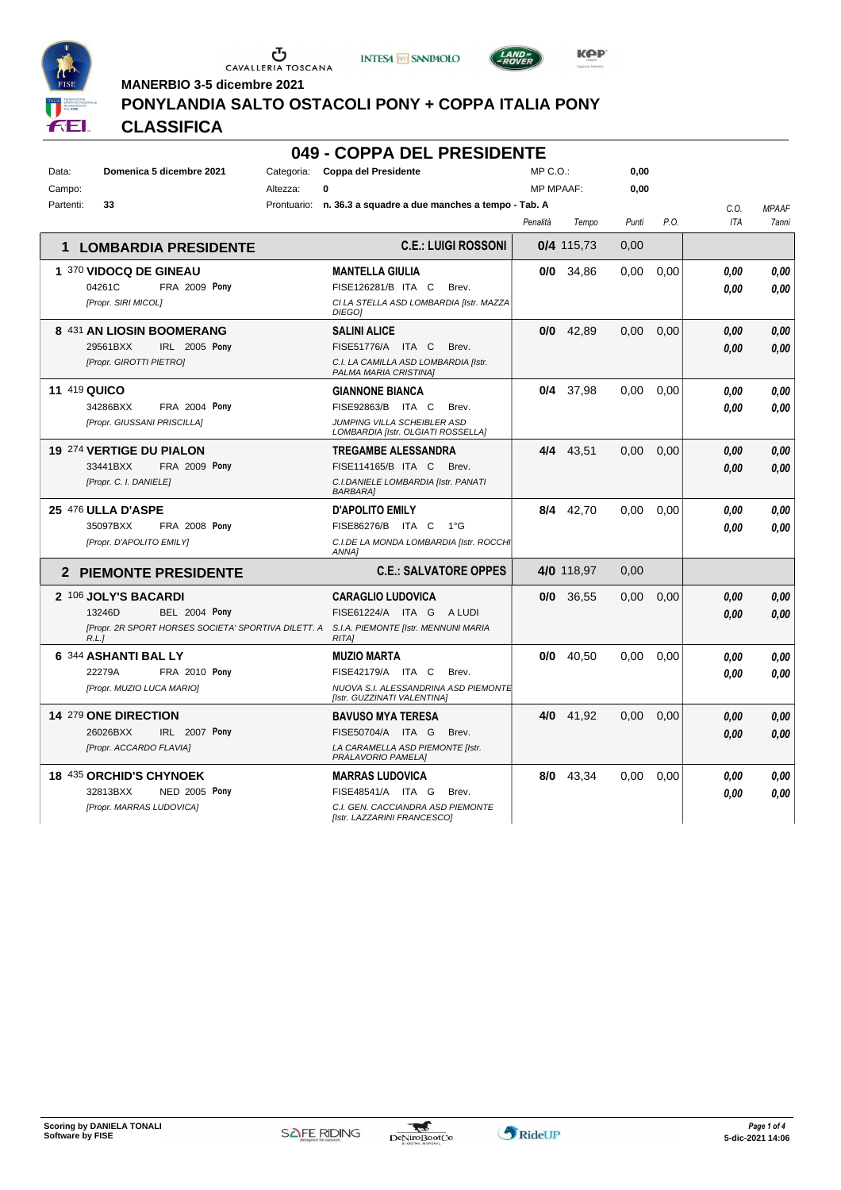







**INTESA** M SANPAOLO

#### **PONYLANDIA SALTO OSTACOLI PONY + COPPA ITALIA PONY**

### **CLASSIFICA**

#### **049 - COPPA DEL PRESIDENTE**

| Data:     | Domenica 5 dicembre 2021                                     | Categoria: | <b>Coppa del Presidente</b>                                         | MP C.O.:         |             | 0,00  |      |            |              |
|-----------|--------------------------------------------------------------|------------|---------------------------------------------------------------------|------------------|-------------|-------|------|------------|--------------|
| Campo:    |                                                              | Altezza:   | 0                                                                   | <b>MP MPAAF:</b> |             | 0,00  |      |            |              |
| Partenti: | 33                                                           |            | Prontuario: n. 36.3 a squadre a due manches a tempo - Tab. A        |                  |             |       |      | C.O.       | <b>MPAAF</b> |
|           |                                                              |            |                                                                     | Penalità         | Tempo       | Punti | P.O. | <b>ITA</b> | 7anni        |
| 1         | <b>LOMBARDIA PRESIDENTE</b>                                  |            | <b>C.E.: LUIGI ROSSONI</b>                                          |                  | 0/4 115,73  | 0,00  |      |            |              |
|           | 1 370 VIDOCQ DE GINEAU                                       |            | <b>MANTELLA GIULIA</b>                                              |                  | $0/0$ 34,86 | 0,00  | 0,00 | 0.00       | 0,00         |
|           | 04261C<br><b>FRA 2009 Pony</b>                               |            | FISE126281/B ITA C<br>Brev.                                         |                  |             |       |      | 0.00       | 0.00         |
|           | [Propr. SIRI MICOL]                                          |            | CI LA STELLA ASD LOMBARDIA [Istr. MAZZA<br>DIEGO]                   |                  |             |       |      |            |              |
|           | 8 431 AN LIOSIN BOOMERANG                                    |            | <b>SALINI ALICE</b>                                                 |                  | $0/0$ 42,89 | 0.00  | 0.00 | 0.00       | 0,00         |
|           | 29561BXX<br>IRL 2005 Pony                                    |            | FISE51776/A ITA C<br>Brev.                                          |                  |             |       |      | 0.00       | 0.00         |
|           | [Propr. GIROTTI PIETRO]                                      |            | C.I. LA CAMILLA ASD LOMBARDIA [Istr.<br>PALMA MARIA CRISTINA]       |                  |             |       |      |            |              |
|           | <b>11 419 QUICO</b>                                          |            | <b>GIANNONE BIANCA</b>                                              |                  | 0/4 37.98   | 0.00  | 0.00 | 0.00       | 0.00         |
|           | 34286BXX<br><b>FRA 2004 Pony</b>                             |            | FISE92863/B ITA C<br>Brev.                                          |                  |             |       |      | 0.00       | 0.00         |
|           | [Propr. GIUSSANI PRISCILLA]                                  |            | JUMPING VILLA SCHEIBLER ASD<br>LOMBARDIA [Istr. OLGIATI ROSSELLA]   |                  |             |       |      |            |              |
|           | <b>19 274 VERTIGE DU PIALON</b>                              |            | <b>TREGAMBE ALESSANDRA</b>                                          | 4/4              | 43,51       | 0.00  | 0,00 | 0.00       | 0,00         |
|           | 33441BXX<br><b>FRA 2009 Pony</b>                             |            | FISE114165/B ITA C<br>Brev.                                         |                  |             |       |      | 0.00       | 0.00         |
|           | [Propr. C. I. DANIELE]                                       |            | C.I.DANIELE LOMBARDIA [Istr. PANATI<br><b>BARBARA</b>               |                  |             |       |      |            |              |
|           | 25 476 ULLA D'ASPE                                           |            | <b>D'APOLITO EMILY</b>                                              | 8/4              | 42,70       | 0.00  | 0.00 | 0.00       | 0.00         |
|           | 35097BXX<br><b>FRA 2008 Pony</b>                             |            | FISE86276/B ITA C<br>1°G                                            |                  |             |       |      | 0.00       | 0.00         |
|           | [Propr. D'APOLITO EMILY]                                     |            | C.I.DE LA MONDA LOMBARDIA [Istr. ROCCHI<br>ANNA1                    |                  |             |       |      |            |              |
|           | <b>2 PIEMONTE PRESIDENTE</b>                                 |            | <b>C.E.: SALVATORE OPPES</b>                                        |                  | 4/0 118,97  | 0,00  |      |            |              |
|           | 2 106 JOLY'S BACARDI                                         |            | <b>CARAGLIO LUDOVICA</b>                                            | 0/0              | 36,55       | 0.00  | 0,00 | 0.00       | 0.00         |
|           | 13246D<br><b>BEL 2004 Pony</b>                               |            | FISE61224/A ITA G ALUDI                                             |                  |             |       |      | 0.00       | 0,00         |
|           | [Propr. 2R SPORT HORSES SOCIETA' SPORTIVA DILETT. A<br>R.L.I |            | S.I.A. PIEMONTE [Istr. MENNUNI MARIA<br><b>RITAI</b>                |                  |             |       |      |            |              |
|           | 6 344 ASHANTI BAL LY                                         |            | <b>MUZIO MARTA</b>                                                  | 0/0              | 40,50       | 0,00  | 0,00 | 0.00       | 0,00         |
|           | 22279A<br>FRA 2010 Pony                                      |            | FISE42179/A ITA C<br>Brev.                                          |                  |             |       |      | 0.00       | 0.00         |
|           | [Propr. MUZIO LUCA MARIO]                                    |            | NUOVA S.I. ALESSANDRINA ASD PIEMONTE<br>[Istr. GUZZINATI VALENTINA] |                  |             |       |      |            |              |
|           | 14 279 ONE DIRECTION                                         |            | <b>BAVUSO MYA TERESA</b>                                            | 4/0              | 41,92       | 0,00  | 0,00 | 0.00       | 0.00         |
|           | 26026BXX<br>IRL 2007 Pony                                    |            | FISE50704/A ITA G<br>Brev.                                          |                  |             |       |      | 0.00       | 0.00         |
|           | [Propr. ACCARDO FLAVIA]                                      |            | LA CARAMELLA ASD PIEMONTE [Istr.<br>PRALAVORIO PAMELA]              |                  |             |       |      |            |              |
|           | 18 435 ORCHID'S CHYNOEK                                      |            | <b>MARRAS LUDOVICA</b>                                              | 8/0              | 43,34       | 0.00  | 0,00 | 0.00       | 0.00         |
|           | <b>NED 2005 Pony</b><br>32813BXX                             |            | FISE48541/A ITA G<br>Brev.                                          |                  |             |       |      | 0.00       | 0.00         |
|           | [Propr. MARRAS LUDOVICA]                                     |            | C.I. GEN. CACCIANDRA ASD PIEMONTE<br>[Istr. LAZZARINI FRANCESCO]    |                  |             |       |      |            |              |



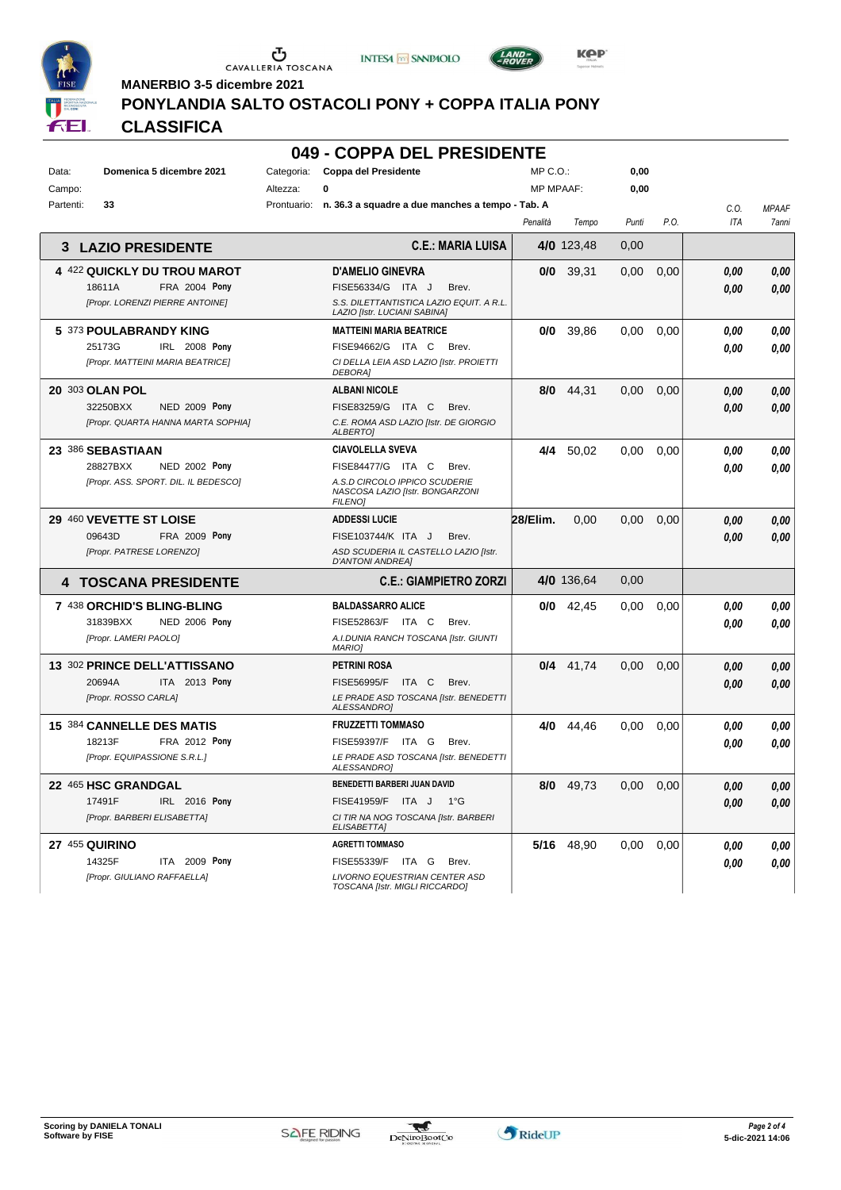

Ⴠ CAVALLERIA TOSCANA





**MANERBIO 3-5 dicembre 2021**

#### **PONYLANDIA SALTO OSTACOLI PONY + COPPA ITALIA PONY**

#### **CLASSIFICA**

|           |                                    |             | 049 - COPPA DEL PRESIDENTE                                               |          |                  |       |      |            |              |
|-----------|------------------------------------|-------------|--------------------------------------------------------------------------|----------|------------------|-------|------|------------|--------------|
| Data:     | Domenica 5 dicembre 2021           | Categoria:  | Coppa del Presidente                                                     | MP C. O. |                  | 0.00  |      |            |              |
| Campo:    |                                    | Altezza:    | 0                                                                        |          | <b>MP MPAAF:</b> | 0.00  |      |            |              |
| Partenti: | 33                                 | Prontuario: | n. 36.3 a squadre a due manches a tempo - Tab. A                         |          |                  |       |      | C.0        | <b>MPAAF</b> |
|           |                                    |             |                                                                          | Penalità | Tempo            | Punti | P.O. | <b>ITA</b> | 7ann         |
|           | <b>3 LAZIO PRESIDENTE</b>          |             | <b>C.E.: MARIA LUISA</b>                                                 |          | 4/0 123.48       | 0,00  |      |            |              |
|           | 4 422 QUICKLY DU TROU MAROT        |             | <b>D'AMELIO GINEVRA</b>                                                  | 0/0      | 39,31            | 0,00  | 0,00 | 0.00       | 0.00         |
|           | <b>FRA 2004 Pony</b><br>18611A     |             | FISE56334/G<br>ITA J<br>Brev.                                            |          |                  |       |      | 0.00       | 0.00         |
|           | [Propr. LORENZI PIERRE ANTOINE]    |             | S.S. DILETTANTISTICA LAZIO EQUIT. A R.L.<br>LAZIO [Istr. LUCIANI SABINA] |          |                  |       |      |            |              |
|           | 5 373 POULABRANDY KING             |             | <b>MATTEINI MARIA BEATRICE</b>                                           | 0/0      | 39.86            | 0.00  | 0,00 | 0.00       | 0.00         |
|           | 25173G<br><b>IRL 2008 Pony</b>     |             | ITA C<br>FISE94662/G<br>Brev.                                            |          |                  |       |      | 0.00       | 0.00         |
|           | [Propr. MATTEINI MARIA BEATRICE]   |             | CI DELLA LEIA ASD LAZIO [Istr. PROIETTI<br><b>DEBORA1</b>                |          |                  |       |      |            |              |
|           | 20 303 OLAN POL                    |             | <b>ALBANI NICOLE</b>                                                     | 8/0      | 44.31            | 0.00  | 0.00 | 0.00       | 0.00         |
|           | <b>NED 2009 Pony</b><br>32250BXX   |             | FISE83259/G<br>ITA C<br>Brev.                                            |          |                  |       |      | 0.00       | 0.00         |
|           | [Propr. QUARTA HANNA MARTA SOPHIA] |             | C.E. ROMA ASD LAZIO [Istr. DE GIORGIO<br><b>ALBERTOI</b>                 |          |                  |       |      |            |              |
|           | 23 386 SEBASTIAAN                  |             | <b>CIAVOLELLA SVEVA</b>                                                  | 4/4      | 50,02            | 0.00  | 0,00 | 0.00       | 0.00         |

*NASCOSA LAZIO [Istr. BONGARZONI*

*FILENO]*

*MARIO]*

**PETRINI ROSA**

*ALESSANDRO]*

*ALESSANDRO]*

*ELISABETTA]*

**AGRETTI TOMMASO**

**FRUZZETTI TOMMASO**

**BENEDETTI BARBERI JUAN DAVID**

*TOSCANA [Istr. MIGLI RICCARDO]*

**ADDESSI LUCIE**

*D'ANTONI ANDREA]*

**BALDASSARRO ALICE**

- NED 2002 *[Propr. ASS. SPORT. DIL. IL BEDESCO] A.S.D CIRCOLO IPPICO SCUDERIE* ITA C Brev. 28827BXX FISE84477/G *0,00* **Pony**
- **29** 460 **VEVETTE ST LOISE FRA 2009 Pony** *[Propr. PATRESE LORENZO] ASD SCUDERIA IL CASTELLO LAZIO [Istr.* 09643D FRA 2009 Pony FISE103744/K ITA J Brev. *0,00 0,00* 
	-
- **4 TOSCANA PRESIDENTE C.E.: GIAMPIETRO ZORZI 4/0** 136,64 0,00 **7** 438 **ORCHID'S BLING-BLING** NED 2006 ITA C Brev. 31839BXX FISE52863/F *0,00* **Pony**
- *[Propr. LAMERI PAOLO] A.I.DUNIA RANCH TOSCANA [Istr. GIUNTI*
- **13** 302 **PRINCE DELL'ATTISSANO** ITA 2013 Pony *[Propr. ROSSO CARLA] LE PRADE ASD TOSCANA [Istr. BENEDETTI* ITA C Brev. 20694A FISE56995/F *0,00* **Pony**
- **15** 384 **CANNELLE DES MATIS FRA 2012 Pony** *[Propr. EQUIPASSIONE S.R.L.] LE PRADE ASD TOSCANA [Istr. BENEDETTI* ITA G Brev. 18213F FISE59397/F *0,00* **Pony**
	-
- **22** 465 **HSC GRANDGAL** IRL 2016 Pony *[Propr. BARBERI ELISABETTA] CI TIR NA NOG TOSCANA [Istr. BARBERI* ITA J 1°G 17491F FISE41959/F *0,00* **Pony**
- **27** 455 **QUIRINO ITA** 2009 Pony ITA G Brev. 14325F FISE55339/F *0,00* **Pony**
	- *[Propr. GIULIANO RAFFAELLA] LIVORNO EQUESTRIAN CENTER ASD*





*0,00*

*0,00*

*0,00*

*0,00*

*0,00*

*0,00*

*0,00*

*0,00*

*0,00*

*0,00*

*0,00*

*0,00*

*0,00*

*0,00*

*0,00*

*0,00*

*0,00*

**28/Elim.** 0,00 0,00 0,00 *0,00*

**0/0** 42,45 0,00 0,00 *0,00*

**0/4** 41,74 0,00 0,00 *0,00*

**4/0** 44,46 0,00 0,00 *0,00*

**8/0** 49,73 0,00 0,00 *0,00*

**5/16** 48,90 0,00 0,00 *0,00*

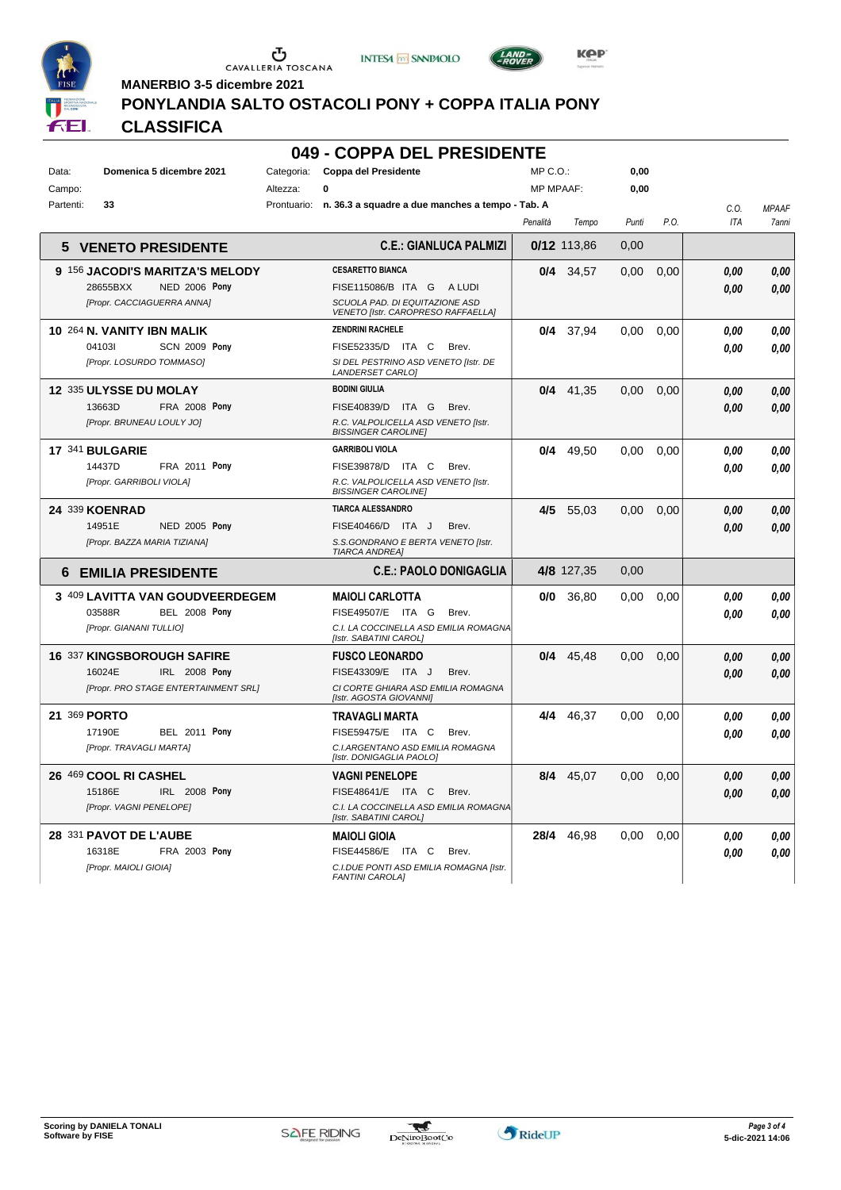





*LAND>*<br>«DOVED

**MANERBIO 3-5 dicembre 2021**

#### **PONYLANDIA SALTO OSTACOLI PONY + COPPA ITALIA PONY**

| 9 P<br>FEI. | <b>CLASSIFICA</b>                |             |                                                                      |                  |             |                   |      |            |              |
|-------------|----------------------------------|-------------|----------------------------------------------------------------------|------------------|-------------|-------------------|------|------------|--------------|
|             |                                  |             | 049 - COPPA DEL PRESIDENTE                                           |                  |             |                   |      |            |              |
| Data:       | Domenica 5 dicembre 2021         | Categoria:  | <b>Coppa del Presidente</b>                                          | MP C. O.         |             | 0.00              |      |            |              |
| Campo:      |                                  | Altezza:    | 0                                                                    | <b>MP MPAAF:</b> |             | 0,00              |      |            |              |
| Partenti:   | 33                               | Prontuario: | n. 36.3 a squadre a due manches a tempo - Tab. A                     |                  |             |                   |      | C.O.       | <b>MPAAF</b> |
|             |                                  |             |                                                                      | Penalità         | Tempo       | Punti             | P.O. | <b>ITA</b> | 7anni        |
| 5           | <b>VENETO PRESIDENTE</b>         |             | <b>C.E.: GIANLUCA PALMIZI</b>                                        |                  | 0/12 113,86 | 0,00              |      |            |              |
|             | 9 156 JACODI'S MARITZA'S MELODY  |             | <b>CESARETTO BIANCA</b>                                              |                  | 0/4 34,57   | 0,00              | 0,00 | 0,00       | 0.00         |
|             | 28655BXX<br><b>NED 2006 Pony</b> |             | FISE115086/B ITA G<br>A LUDI                                         |                  |             |                   |      | 0.00       | 0.00         |
|             | [Propr. CACCIAGUERRA ANNA]       |             | SCUOLA PAD. DI EQUITAZIONE ASD<br>VENETO [Istr. CAROPRESO RAFFAELLA] |                  |             |                   |      |            |              |
|             | 10 264 N. VANITY IBN MALIK       |             | <b>ZENDRINI RACHELE</b>                                              | 0/4              | 37,94       | 0.00              | 0,00 | 0.00       | 0.00         |
|             | <b>SCN 2009 Pony</b><br>041031   |             | FISE52335/D ITA C<br>Brev.                                           |                  |             |                   |      | 0.00       | 0.00         |
|             | [Propr. LOSURDO TOMMASO]         |             | SI DEL PESTRINO ASD VENETO [Istr. DE<br><b>LANDERSET CARLOI</b>      |                  |             |                   |      |            |              |
|             | 12 335 ULYSSE DU MOLAY           |             | <b>BODINI GIULIA</b>                                                 |                  | $0/4$ 41.35 | 0.00              | 0.00 | 0,00       | 0,00         |
|             | 13663D<br><b>FRA 2008 Pony</b>   |             | FISE40839/D<br>ITA G<br>Brev.                                        |                  |             |                   |      | 0.00       | 0.00         |
|             | [Propr. BRUNEAU LOULY JO]        |             | R.C. VALPOLICELLA ASD VENETO [Istr.<br><b>BISSINGER CAROLINET</b>    |                  |             |                   |      |            |              |
|             | 17 341 BULGARIE                  |             | <b>GARRIBOLI VIOLA</b>                                               | 0/4              | 49.50       | 0.00              | 0,00 | 0.00       | 0.00         |
|             | 14437D<br><b>FRA 2011 Pony</b>   |             | FISE39878/D ITA C<br>Brev.                                           |                  |             |                   |      | 0.00       | 0.00         |
|             | [Propr. GARRIBOLI VIOLA]         |             | R.C. VALPOLICELLA ASD VENETO [Istr.<br><b>BISSINGER CAROLINE!</b>    |                  |             |                   |      |            |              |
|             | 24 339 KOENRAD                   |             | <b>TIARCA ALESSANDRO</b>                                             | 4/5              | 55.03       | 0.00 <sub>1</sub> | 0,00 | 0.00       | 0.00         |
|             | 14951E<br><b>NED 2005 Pony</b>   |             | FISE40466/D ITA J<br>Brev.                                           |                  |             |                   |      | 0.00       | 0.00         |
|             | [Propr. BAZZA MARIA TIZIANA]     |             | S.S.GONDRANO E BERTA VENETO [Istr.<br><b>TIARCA ANDREA1</b>          |                  |             |                   |      |            |              |
| 6           | <b>EMILIA PRESIDENTE</b>         |             | <b>C.E.: PAOLO DONIGAGLIA</b>                                        |                  | 4/8 127,35  | 0,00              |      |            |              |
|             | 3 409 LAVITTA VAN GOUDVEERDEGEM  |             | <b>MAIOLI CARLOTTA</b>                                               | 0/0              | 36,80       | 0.00              | 0,00 | 0.00       | 0.00         |

| 3 409 LAVITTA VAN GOUDVEERDEGEM<br><b>BEL 2008 Pony</b><br>03588R<br>[Propr. GIANANI TULLIO]         | <b>MAIOLI CARLOTTA</b><br>FISE49507/E<br>ITA<br>G<br>Brev.<br>C.I. LA COCCINELLA ASD EMILIA ROMAGNA<br>[Istr. SABATINI CAROL]        | 0/0  | 36,80 | 0.00 | 0.00 | 0.00<br>0.00 | 0.00<br>0.00 |
|------------------------------------------------------------------------------------------------------|--------------------------------------------------------------------------------------------------------------------------------------|------|-------|------|------|--------------|--------------|
| <b>16 337 KINGSBOROUGH SAFIRE</b><br>IRL 2008 Pony<br>16024E<br>[Propr. PRO STAGE ENTERTAINMENT SRL] | <b>FUSCO LEONARDO</b><br>FISE43309/E<br>ITA J<br>Brev.<br>CI CORTE GHIARA ASD EMILIA ROMAGNA<br>[Istr. AGOSTA GIOVANNI]              | 0/4  | 45,48 | 0,00 | 0.00 | 0.00<br>0.00 | 0,00<br>0.00 |
| 369 <b>PORTO</b><br>21<br>Pony<br>17190E<br>BEL 2011<br>[Propr. TRAVAGLI MARTA]                      | TRAVAGLI MARTA<br><b>FISE59475/E</b><br>C.<br>ITA<br>Brev.<br>C.I.ARGENTANO ASD EMILIA ROMAGNA<br>[Istr. DONIGAGLIA PAOLO]           | 4/4  | 46,37 | 0,00 | 0.00 | 0.00<br>0.00 | 0.00<br>0.00 |
| 26 469 COOL RI CASHEL<br><b>IRL 2008 Pony</b><br>15186E<br>[Propr. VAGNI PENELOPE]                   | <b>VAGNI PENELOPE</b><br><b>FISE48641/E</b><br>C.<br>ITA<br>Brev.<br>C.I. LA COCCINELLA ASD EMILIA ROMAGNA<br>[Istr. SABATINI CAROL] | 8/4  | 45,07 | 0,00 | 0,00 | 0.00<br>0.00 | 0,00<br>0.00 |
| 28 331 PAVOT DE L'AUBE<br>FRA 2003 Pony<br>16318E<br>[Propr. MAIOLI GIOIA]                           | <b>MAIOLI GIOIA</b><br>C<br><b>FISE44586/E</b><br>ITA<br>Brev.<br>C.I.DUE PONTI ASD EMILIA ROMAGNA [Istr.<br><b>FANTINI CAROLAI</b>  | 28/4 | 46,98 | 0,00 | 0,00 | 0.00<br>0.00 | 0.00<br>0.00 |

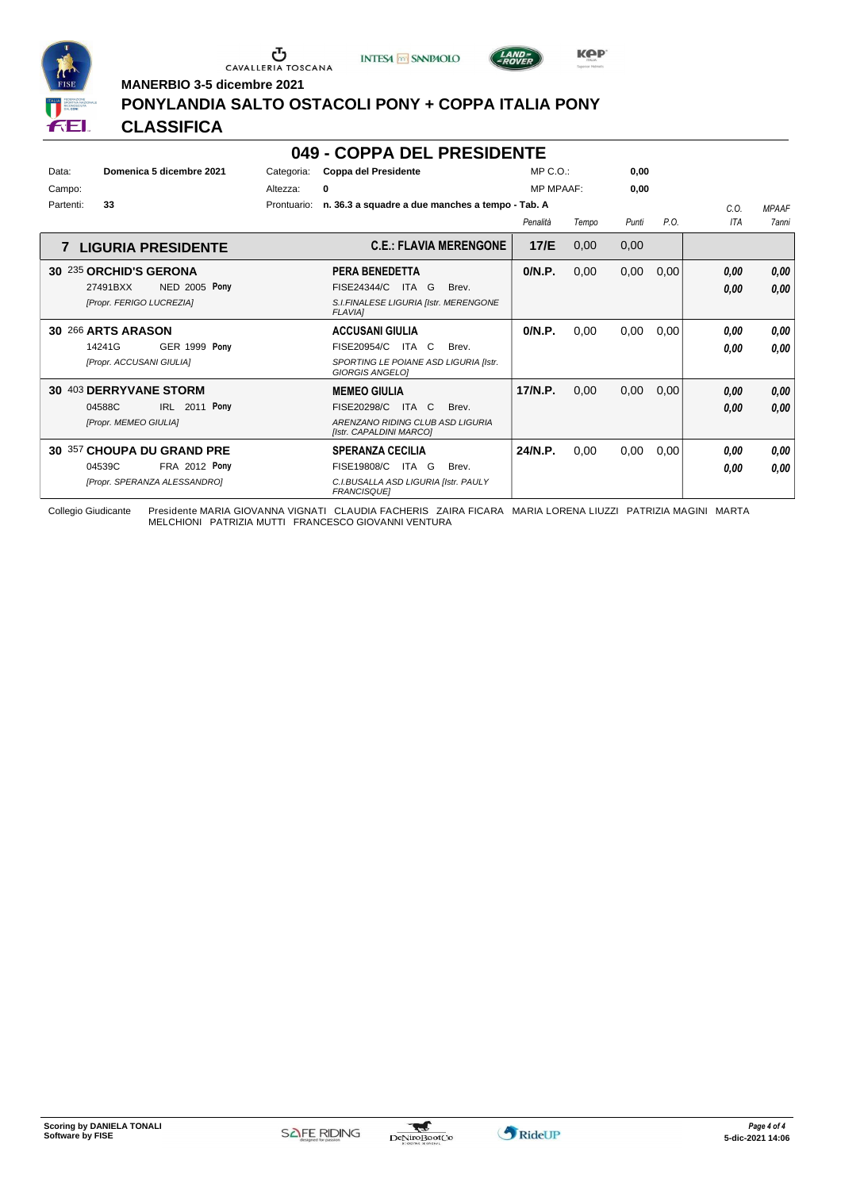





**MANERBIO 3-5 dicembre 2021**

#### **PONYLANDIA SALTO OSTACOLI PONY + COPPA ITALIA PONY**

#### **CLASSIFICA**

#### **049 - COPPA DEL PRESIDENTE**

| Data:<br>Campo:<br>Partenti: | Domenica 5 dicembre 2021<br>33                                                               | Categoria:<br>Altezza:<br>Prontuario: | <b>Coppa del Presidente</b><br>0<br>n. 36.3 a squadre a due manches a tempo - Tab. A                                       | $MP C. O.$ :<br><b>MP MPAAF:</b> |       | 0,00<br>0.00 |      | C.0.         | <b>MPAAF</b> |
|------------------------------|----------------------------------------------------------------------------------------------|---------------------------------------|----------------------------------------------------------------------------------------------------------------------------|----------------------------------|-------|--------------|------|--------------|--------------|
|                              |                                                                                              |                                       |                                                                                                                            | Penalità                         | Tempo | Punti        | P.O. | <b>ITA</b>   | <b>7anni</b> |
|                              | <b>7 LIGURIA PRESIDENTE</b>                                                                  |                                       | <b>C.E.: FLAVIA MERENGONE</b>                                                                                              | 17/E                             | 0,00  | 0,00         |      |              |              |
|                              | 30 235 ORCHID'S GERONA<br><b>NED 2005 Pony</b><br>27491BXX<br>[Propr. FERIGO LUCREZIA]       |                                       | PERA BENEDETTA<br>FISE24344/C<br>ITA G<br>Brev.<br>S.I.FINALESE LIGURIA [Istr. MERENGONE<br><b>FLAVIAI</b>                 | 0/N.P.                           | 0,00  | 0,00         | 0,00 | 0.00<br>0,00 | 0,00<br>0,00 |
|                              | 30 266 ARTS ARASON<br>14241G<br><b>GER 1999 Pony</b><br>[Propr. ACCUSANI GIULIA]             |                                       | <b>ACCUSANI GIULIA</b><br>FISE20954/C<br>ITA C<br>Brev.<br>SPORTING LE POIANE ASD LIGURIA [Istr.<br><b>GIORGIS ANGELOI</b> | 0/N.P.                           | 0,00  | 0,00         | 0,00 | 0.00<br>0.00 | 0,00<br>0.00 |
| 30                           | <b>403 DERRYVANE STORM</b><br>2011 Pony<br>04588C<br>IRL<br>[Propr. MEMEO GIULIA]            |                                       | <b>MEMEO GIULIA</b><br>FISE20298/C<br>ITA C<br>Brev.<br>ARENZANO RIDING CLUB ASD LIGURIA<br>[Istr. CAPALDINI MARCO]        | 17/N.P.                          | 0,00  | 0,00         | 0.00 | 0,00<br>0.00 | 0,00<br>0,00 |
|                              | 30 357 CHOUPA DU GRAND PRE<br>04539C<br><b>FRA 2012 Pony</b><br>[Propr. SPERANZA ALESSANDRO] |                                       | <b>SPERANZA CECILIA</b><br>FISE19808/C ITA G<br>Brev.<br>C.I.BUSALLA ASD LIGURIA [Istr. PAULY<br><b>FRANCISQUEI</b>        | 24/N.P.                          | 0.00  | 0,00         | 0,00 | 0.00<br>0.00 | 0,00<br>0.00 |

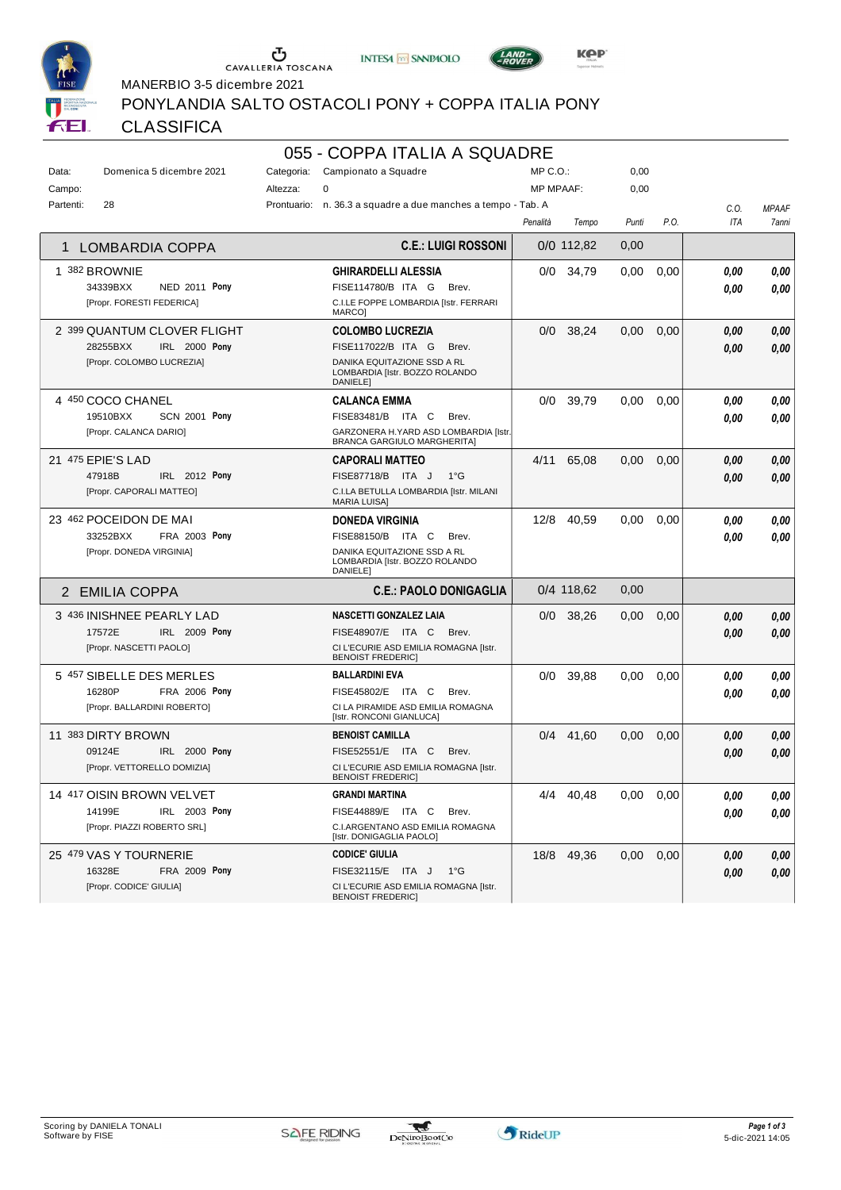





MANERBIO 3-5 dicembre 2021

PONYLANDIA SALTO OSTACOLI PONY + COPPA ITALIA PONY

#### CLASSIFICA

# 055 - COPPA ITALIA A SQUADRE

| Data:     | Domenica 5 dicembre 2021         | Categoria: | Campionato a Squadre                                                             | MP C.O.:         |              | 0,00  |      |            |              |
|-----------|----------------------------------|------------|----------------------------------------------------------------------------------|------------------|--------------|-------|------|------------|--------------|
| Campo:    |                                  | Altezza:   | $\Omega$                                                                         | <b>MP MPAAF:</b> |              | 0,00  |      |            |              |
| Partenti: | 28                               |            | Prontuario: n. 36.3 a squadre a due manches a tempo - Tab. A                     |                  |              |       |      | C.0.       | <b>MPAAF</b> |
|           |                                  |            |                                                                                  | Penalità         | Tempo        | Punti | P.O. | <b>ITA</b> | 7anni        |
| 1         | LOMBARDIA COPPA                  |            | <b>C.E.: LUIGI ROSSONI</b>                                                       |                  | $0/0$ 112,82 | 0,00  |      |            |              |
|           | 1 382 BROWNIE                    |            | <b>GHIRARDELLI ALESSIA</b>                                                       |                  | 0/0 34,79    | 0,00  | 0,00 | 0.00       | 0.00         |
|           | 34339BXX<br><b>NED 2011 Pony</b> |            | FISE114780/B ITA G<br>Brev.                                                      |                  |              |       |      | 0.00       | 0.00         |
|           | [Propr. FORESTI FEDERICA]        |            | C.I.LE FOPPE LOMBARDIA [Istr. FERRARI<br><b>MARCO</b>                            |                  |              |       |      |            |              |
|           | 2 399 QUANTUM CLOVER FLIGHT      |            | <b>COLOMBO LUCREZIA</b>                                                          |                  | $0/0$ 38.24  | 0.00  | 0.00 | 0.00       | 0.00         |
|           | 28255BXX<br><b>IRL 2000 Pony</b> |            | FISE117022/B ITA G<br>Brev.                                                      |                  |              |       |      | 0.00       | 0,00         |
|           | [Propr. COLOMBO LUCREZIA]        |            | DANIKA EQUITAZIONE SSD A RL<br>LOMBARDIA [Istr. BOZZO ROLANDO<br><b>DANIELEI</b> |                  |              |       |      |            |              |
|           | 4 450 COCO CHANEL                |            | <b>CALANCA EMMA</b>                                                              |                  | 0/0 39.79    | 0.00  | 0,00 | 0.00       | 0,00         |
|           | 19510BXX<br><b>SCN 2001 Pony</b> |            | FISE83481/B ITA C<br>Brev.                                                       |                  |              |       |      | 0.00       | 0,00         |
|           | [Propr. CALANCA DARIO]           |            | GARZONERA H.YARD ASD LOMBARDIA [Istr.<br><b>BRANCA GARGIULO MARGHERITA]</b>      |                  |              |       |      |            |              |
|           | 21 475 EPIE'S LAD                |            | <b>CAPORALI MATTEO</b>                                                           | 4/11             | 65,08        | 0.00  | 0,00 | 0,00       | 0,00         |
|           | 47918B<br>IRL 2012 Pony          |            | FISE87718/B ITA J<br>$1^{\circ}G$                                                |                  |              |       |      | 0.00       | 0,00         |
|           | [Propr. CAPORALI MATTEO]         |            | C.I.LA BETULLA LOMBARDIA [Istr. MILANI<br><b>MARIA LUISA]</b>                    |                  |              |       |      |            |              |
|           | 23 462 POCEIDON DE MAI           |            | <b>DONEDA VIRGINIA</b>                                                           | 12/8             | 40.59        | 0.00  | 0.00 | 0.00       | 0,00         |
|           | 33252BXX<br>FRA 2003 Pony        |            | FISE88150/B ITA C<br>Brev.                                                       |                  |              |       |      | 0.00       | 0.00         |
|           | [Propr. DONEDA VIRGINIA]         |            | DANIKA EQUITAZIONE SSD A RL<br>LOMBARDIA [Istr. BOZZO ROLANDO<br><b>DANIELEI</b> |                  |              |       |      |            |              |
|           | 2 EMILIA COPPA                   |            | <b>C.E.: PAOLO DONIGAGLIA</b>                                                    |                  | 0/4 118,62   | 0,00  |      |            |              |
|           | 3 436 INISHNEE PEARLY LAD        |            | <b>NASCETTI GONZALEZ LAIA</b>                                                    | 0/0              | 38,26        | 0.00  | 0,00 | 0,00       | 0,00         |
|           | IRL 2009 Pony<br>17572E          |            | FISE48907/E ITA C Brev.                                                          |                  |              |       |      | 0.00       | 0,00         |
|           | [Propr. NASCETTI PAOLO]          |            | CI L'ECURIE ASD EMILIA ROMAGNA [Istr.                                            |                  |              |       |      |            |              |
|           |                                  |            | <b>BENOIST FREDERIC]</b>                                                         |                  |              |       |      |            |              |
|           | 5 457 SIBELLE DES MERLES         |            | <b>BALLARDINI EVA</b>                                                            | 0/0              | 39,88        | 0.00  | 0,00 | 0.00       | 0,00         |
|           | 16280P<br>FRA 2006 Pony          |            | FISE45802/E ITA C<br>Brev.                                                       |                  |              |       |      | 0.00       | 0.00         |
|           | [Propr. BALLARDINI ROBERTO]      |            | CI LA PIRAMIDE ASD EMILIA ROMAGNA<br>[Istr. RONCONI GIANLUCA]                    |                  |              |       |      |            |              |
|           | 11 383 DIRTY BROWN               |            | <b>BENOIST CAMILLA</b>                                                           | 0/4              | 41,60        | 0,00  | 0,00 | 0.00       | 0,00         |
|           | 09124E<br>IRL 2000 Pony          |            | FISE52551/E ITA C<br>Brev.                                                       |                  |              |       |      | 0.00       | 0,00         |
|           | [Propr. VETTORELLO DOMIZIA]      |            | CI L'ECURIE ASD EMILIA ROMAGNA [Istr.<br><b>BENOIST FREDERICI</b>                |                  |              |       |      |            |              |
|           | 14 417 OISIN BROWN VELVET        |            | <b>GRANDI MARTINA</b>                                                            | 4/4              | 40,48        | 0,00  | 0,00 | 0.00       | 0,00         |
|           | 14199E<br>IRL 2003 Pony          |            | FISE44889/E ITA C<br>Brev.                                                       |                  |              |       |      | 0.00       | 0.00         |
|           | [Propr. PIAZZI ROBERTO SRL]      |            | C.I.ARGENTANO ASD EMILIA ROMAGNA<br>[Istr. DONIGAGLIA PAOLO]                     |                  |              |       |      |            |              |
|           | 25 479 VAS Y TOURNERIE           |            | <b>CODICE' GIULIA</b>                                                            | 18/8             | 49.36        | 0.00  | 0,00 | 0,00       | 0,00         |
|           | <b>FRA 2009 Pony</b><br>16328E   |            | FISE32115/E ITA J<br>$1^{\circ}G$                                                |                  |              |       |      | 0.00       | 0,00         |
|           | [Propr. CODICE' GIULIA]          |            | CI L'ECURIE ASD EMILIA ROMAGNA [Istr.<br><b>BENOIST FREDERIC]</b>                |                  |              |       |      |            |              |

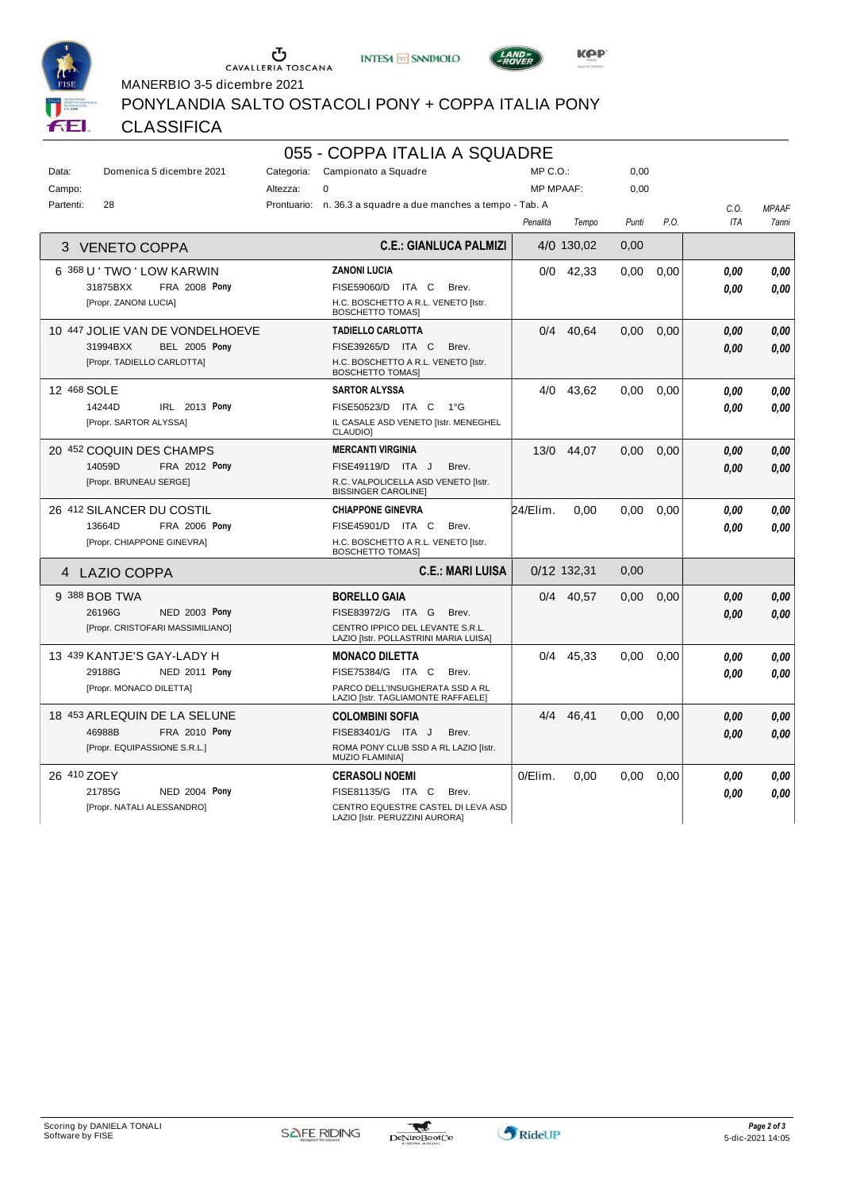





MANERBIO 3-5 dicembre 2021

PONYLANDIA SALTO OSTACOLI PONY + COPPA ITALIA PONY

#### CLASSIFICA

#### 055 - COPPA ITALIA A SQUADRE

| Data:       | Domenica 5 dicembre 2021         | Categoria: | Campionato a Squadre                                                      | $MP C. O.$ :     |             | 0,00  |      |            |              |
|-------------|----------------------------------|------------|---------------------------------------------------------------------------|------------------|-------------|-------|------|------------|--------------|
| Campo:      |                                  | Altezza:   | $\Omega$                                                                  | <b>MP MPAAF:</b> |             | 0,00  |      |            |              |
| Partenti:   | 28                               |            | Prontuario: n. 36.3 a squadre a due manches a tempo - Tab. A              |                  |             |       |      | C.O.       | <b>MPAAF</b> |
|             |                                  |            |                                                                           | Penalità         | Tempo       | Punti | P.O. | <b>ITA</b> | 7anni        |
| 3           | <b>VENETO COPPA</b>              |            | <b>C.E.: GIANLUCA PALMIZI</b>                                             |                  | 4/0 130,02  | 0,00  |      |            |              |
|             | 6 368 U ' TWO ' LOW KARWIN       |            | <b>ZANONI LUCIA</b>                                                       |                  | $0/0$ 42,33 | 0.00  | 0.00 | 0.00       | 0.00         |
|             | 31875BXX<br><b>FRA 2008 Pony</b> |            | FISE59060/D<br>ITA C<br>Brev.                                             |                  |             |       |      | 0.00       | 0.00         |
|             | [Propr. ZANONI LUCIA]            |            | H.C. BOSCHETTO A R.L. VENETO [Istr.<br><b>BOSCHETTO TOMAS)</b>            |                  |             |       |      |            |              |
|             | 10 447 JOLIE VAN DE VONDELHOEVE  |            | <b>TADIELLO CARLOTTA</b>                                                  | 0/4              | 40.64       | 0.00  | 0.00 | 0.00       | 0.00         |
|             | <b>BEL 2005 Pony</b><br>31994BXX |            | FISE39265/D ITA C<br>Brev.                                                |                  |             |       |      | 0.00       | 0.00         |
|             | [Propr. TADIELLO CARLOTTA]       |            | H.C. BOSCHETTO A R.L. VENETO [Istr.<br><b>BOSCHETTO TOMAS)</b>            |                  |             |       |      |            |              |
| 12 468 SOLE |                                  |            | <b>SARTOR ALYSSA</b>                                                      |                  | 4/0 43.62   | 0.00  | 0.00 | 0.00       | 0.00         |
|             | 14244D<br>IRL 2013 Pony          |            | FISE50523/D ITA C<br>$1^{\circ}G$                                         |                  |             |       |      | 0.00       | 0.00         |
|             | [Propr. SARTOR ALYSSA]           |            | IL CASALE ASD VENETO [Istr. MENEGHEL<br><b>CLAUDIO</b>                    |                  |             |       |      |            |              |
|             | 20 452 COQUIN DES CHAMPS         |            | <b>MERCANTI VIRGINIA</b>                                                  | 13/0             | 44.07       | 0.00  | 0.00 | 0.00       | 0,00         |
|             | 14059D<br>FRA 2012 Pony          |            | FISE49119/D ITA J<br>Brev.                                                |                  |             |       |      | 0.00       | 0.00         |
|             | [Propr. BRUNEAU SERGE]           |            | R.C. VALPOLICELLA ASD VENETO [Istr.<br><b>BISSINGER CAROLINE]</b>         |                  |             |       |      |            |              |
|             | 26 412 SILANCER DU COSTIL        |            | <b>CHIAPPONE GINEVRA</b>                                                  | 24/Elim.         | 0.00        | 0.00  | 0.00 | 0.00       | 0,00         |
|             | 13664D<br>FRA 2006 Pony          |            | FISE45901/D ITA C<br>Brev.                                                |                  |             |       |      | 0.00       | 0.00         |
|             | [Propr. CHIAPPONE GINEVRA]       |            | H.C. BOSCHETTO A R.L. VENETO [Istr.<br><b>BOSCHETTO TOMASI</b>            |                  |             |       |      |            |              |
| 4           | LAZIO COPPA                      |            | <b>C.E.: MARI LUISA</b>                                                   |                  | 0/12 132,31 | 0,00  |      |            |              |
|             | 9 388 BOB TWA                    |            | <b>BORELLO GAIA</b>                                                       |                  | 0/4 40,57   | 0,00  | 0,00 | 0.00       | 0,00         |
|             | 26196G<br><b>NED 2003 Pony</b>   |            | FISE83972/G ITA G<br>Brev.                                                |                  |             |       |      | 0.00       | 0.00         |
|             | [Propr. CRISTOFARI MASSIMILIANO] |            | CENTRO IPPICO DEL LEVANTE S.R.L.<br>LAZIO [Istr. POLLASTRINI MARIA LUISA] |                  |             |       |      |            |              |
|             | 13 439 KANTJE'S GAY-LADY H       |            | <b>MONACO DILETTA</b>                                                     | 0/4              | 45,33       | 0,00  | 0,00 | 0.00       | 0,00         |
|             | 29188G<br>NED 2011 Pony          |            | FISE75384/G ITA C<br>Brev.                                                |                  |             |       |      | 0.00       | 0.00         |
|             | [Propr. MONACO DILETTA]          |            | PARCO DELL'INSUGHERATA SSD A RL<br>LAZIO [Istr. TAGLIAMONTE RAFFAELE]     |                  |             |       |      |            |              |
|             | 18 453 ARLEQUIN DE LA SELUNE     |            | <b>COLOMBINI SOFIA</b>                                                    | 4/4              | 46,41       | 0,00  | 0,00 | 0.00       | 0,00         |
|             | 46988B<br>FRA 2010 Pony          |            | FISE83401/G ITA J<br>Brev.                                                |                  |             |       |      | 0.00       | 0.00         |
|             | [Propr. EQUIPASSIONE S.R.L.]     |            | ROMA PONY CLUB SSD A RL LAZIO [Istr.<br><b>MUZIO FLAMINIA1</b>            |                  |             |       |      |            |              |
| 26 410 ZOEY |                                  |            | <b>CERASOLI NOEMI</b>                                                     | 0/Elim.          | 0,00        | 0.00  | 0,00 | 0.00       | 0,00         |
|             | NED 2004 Pony<br>21785G          |            | FISE81135/G ITA C<br>Brev.                                                |                  |             |       |      | 0.00       | 0,00         |
|             | [Propr. NATALI ALESSANDRO]       |            | CENTRO EQUESTRE CASTEL DI LEVA ASD<br>LAZIO [Istr. PERUZZINI AURORA]      |                  |             |       |      |            |              |

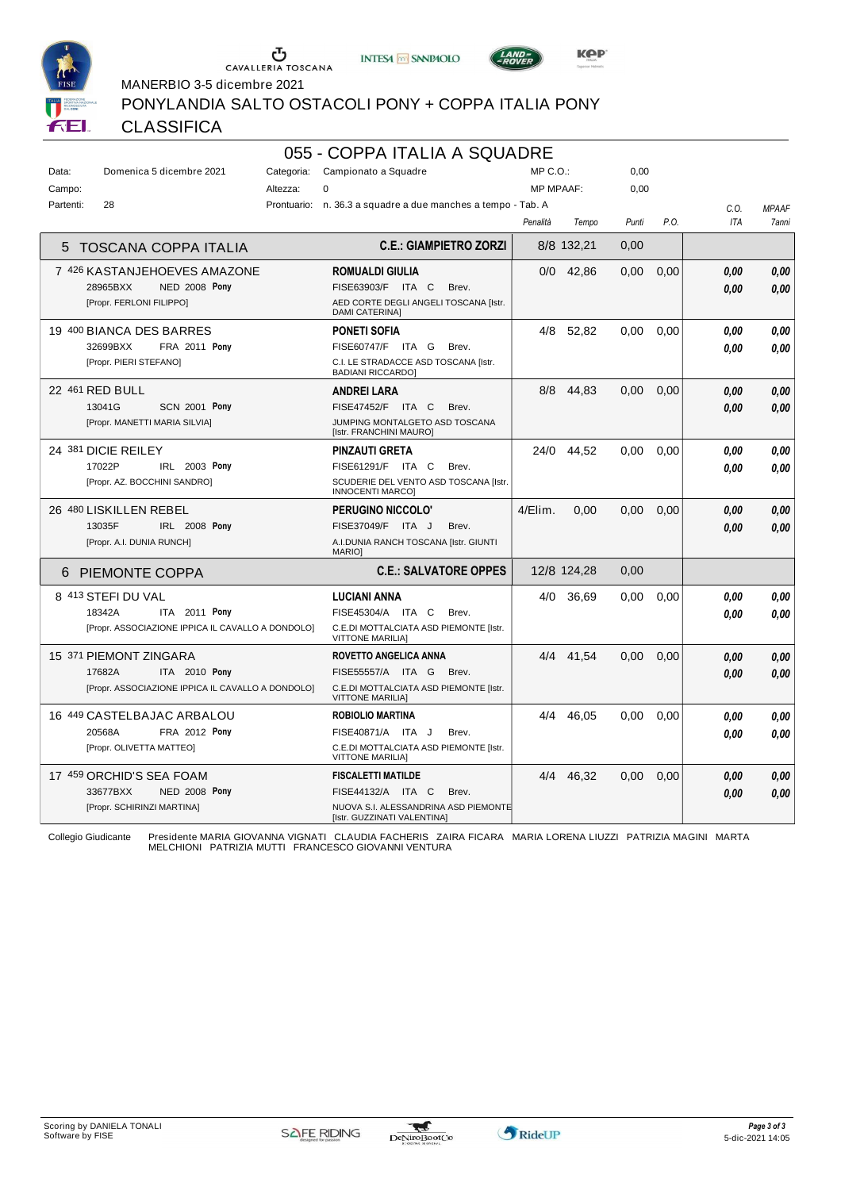





MANERBIO 3-5 dicembre 2021

PONYLANDIA SALTO OSTACOLI PONY + COPPA ITALIA PONY

#### **CLASSIFICA**

### 055 - COPPA ITALIA A SQUADRE

| Data:     | Domenica 5 dicembre 2021                          | Categoria: | Campionato a Squadre                                                | $MP C. O.$ :     |             | 0,00  |      |      |              |
|-----------|---------------------------------------------------|------------|---------------------------------------------------------------------|------------------|-------------|-------|------|------|--------------|
| Campo:    |                                                   | Altezza:   | 0                                                                   | <b>MP MPAAF:</b> |             | 0,00  |      |      |              |
| Partenti: | 28                                                |            | Prontuario: n. 36.3 a squadre a due manches a tempo - Tab. A        |                  |             |       |      | C.O. | <b>MPAAF</b> |
|           |                                                   |            |                                                                     | Penalità         | Tempo       | Punti | P.O. | ITA  | 7anni        |
|           | <b>TOSCANA COPPA ITALIA</b>                       |            | <b>C.E.: GIAMPIETRO ZORZI</b>                                       |                  | 8/8 132,21  | 0,00  |      |      |              |
|           | 7 426 KASTANJEHOEVES AMAZONE                      |            | <b>ROMUALDI GIULIA</b>                                              | 0/0              | 42,86       | 0,00  | 0,00 | 0.00 | 0,00         |
|           | 28965BXX<br><b>NED 2008 Pony</b>                  |            | FISE63903/F ITA C<br>Brev.                                          |                  |             |       |      | 0.00 | 0.00         |
|           | [Propr. FERLONI FILIPPO]                          |            | AED CORTE DEGLI ANGELI TOSCANA [Istr.<br><b>DAMI CATERINA]</b>      |                  |             |       |      |      |              |
|           | 19 400 BIANCA DES BARRES                          |            | <b>PONETI SOFIA</b>                                                 |                  | 4/8 52.82   | 0.00  | 0.00 | 0.00 | 0,00         |
|           | 32699BXX<br>FRA 2011 Pony                         |            | FISE60747/F ITA G<br>Brev.                                          |                  |             |       |      | 0.00 | 0,00         |
|           | [Propr. PIERI STEFANO]                            |            | C.I. LE STRADACCE ASD TOSCANA [Istr.<br><b>BADIANI RICCARDO]</b>    |                  |             |       |      |      |              |
|           | 22 461 RED BULL                                   |            | <b>ANDREI LARA</b>                                                  | 8/8              | 44,83       | 0,00  | 0,00 | 0.00 | 0,00         |
|           | <b>SCN 2001 Pony</b><br>13041G                    |            | FISE47452/F ITA C<br>Brev.                                          |                  |             |       |      | 0.00 | 0,00         |
|           | [Propr. MANETTI MARIA SILVIA]                     |            | JUMPING MONTALGETO ASD TOSCANA<br>[Istr. FRANCHINI MAURO]           |                  |             |       |      |      |              |
|           | 24 381 DICIE REILEY                               |            | <b>PINZAUTI GRETA</b>                                               | 24/0             | 44,52       | 0.00  | 0,00 | 0.00 | 0,00         |
|           | 17022P<br>IRL 2003 Pony                           |            | FISE61291/F ITA C<br>Brev.                                          |                  |             |       |      | 0.00 | 0.00         |
|           | [Propr. AZ. BOCCHINI SANDRO]                      |            | SCUDERIE DEL VENTO ASD TOSCANA [Istr.<br><b>INNOCENTI MARCO]</b>    |                  |             |       |      |      |              |
|           | 26 480 LISKILLEN REBEL                            |            | PERUGINO NICCOLO'                                                   | 4/Elim.          | 0.00        | 0.00  | 0.00 | 0.00 | 0,00         |
|           | 13035F<br>IRL 2008 Pony                           |            | FISE37049/F ITA J<br>Brev.                                          |                  |             |       |      | 0.00 | 0,00         |
|           | [Propr. A.I. DUNIA RUNCH]                         |            | A.I.DUNIA RANCH TOSCANA [Istr. GIUNTI<br><b>MARIO]</b>              |                  |             |       |      |      |              |
| 6         | <b>PIEMONTE COPPA</b>                             |            | <b>C.E.: SALVATORE OPPES</b>                                        |                  | 12/8 124,28 | 0,00  |      |      |              |
|           | 8 413 STEFI DU VAL                                |            | <b>LUCIANI ANNA</b>                                                 | 4/0              | 36,69       | 0.00  | 0,00 | 0.00 | 0,00         |
|           | 18342A<br>ITA 2011 Pony                           |            | FISE45304/A ITA C<br>Brev.                                          |                  |             |       |      | 0.00 | 0,00         |
|           | [Propr. ASSOCIAZIONE IPPICA IL CAVALLO A DONDOLO] |            | C.E.DI MOTTALCIATA ASD PIEMONTE [Istr.<br><b>VITTONE MARILIA)</b>   |                  |             |       |      |      |              |
|           | 15 371 PIEMONT ZINGARA                            |            | <b>ROVETTO ANGELICA ANNA</b>                                        |                  | 4/4 41.54   | 0.00  | 0.00 | 0.00 | 0.00         |
|           | ITA 2010 Pony<br>17682A                           |            | FISE55557/A ITA G<br>Brev.                                          |                  |             |       |      | 0.00 | 0,00         |
|           | [Propr. ASSOCIAZIONE IPPICA IL CAVALLO A DONDOLO] |            | C.E.DI MOTTALCIATA ASD PIEMONTE [Istr.<br><b>VITTONE MARILIA)</b>   |                  |             |       |      |      |              |
|           | 16 449 CASTELBAJAC ARBALOU                        |            | <b>ROBIOLIO MARTINA</b>                                             | 4/4              | 46,05       | 0.00  | 0,00 | 0.00 | 0,00         |
|           | 20568A<br>FRA 2012 Pony                           |            | FISE40871/A ITA J<br>Brev.                                          |                  |             |       |      | 0.00 | 0.00         |
|           | [Propr. OLIVETTA MATTEO]                          |            | C.E.DI MOTTALCIATA ASD PIEMONTE [Istr.<br><b>VITTONE MARILIA]</b>   |                  |             |       |      |      |              |
|           | 17 459 ORCHID'S SEA FOAM                          |            | <b>FISCALETTI MATILDE</b>                                           | 4/4              | 46,32       | 0,00  | 0,00 | 0,00 | 0,00         |
|           | 33677BXX<br><b>NED 2008 Pony</b>                  |            | FISE44132/A ITA C<br>Brev.                                          |                  |             |       |      | 0.00 | 0.00         |
|           | [Propr. SCHIRINZI MARTINA]                        |            | NUOVA S.I. ALESSANDRINA ASD PIEMONTE<br>[Istr. GUZZINATI VALENTINA] |                  |             |       |      |      |              |

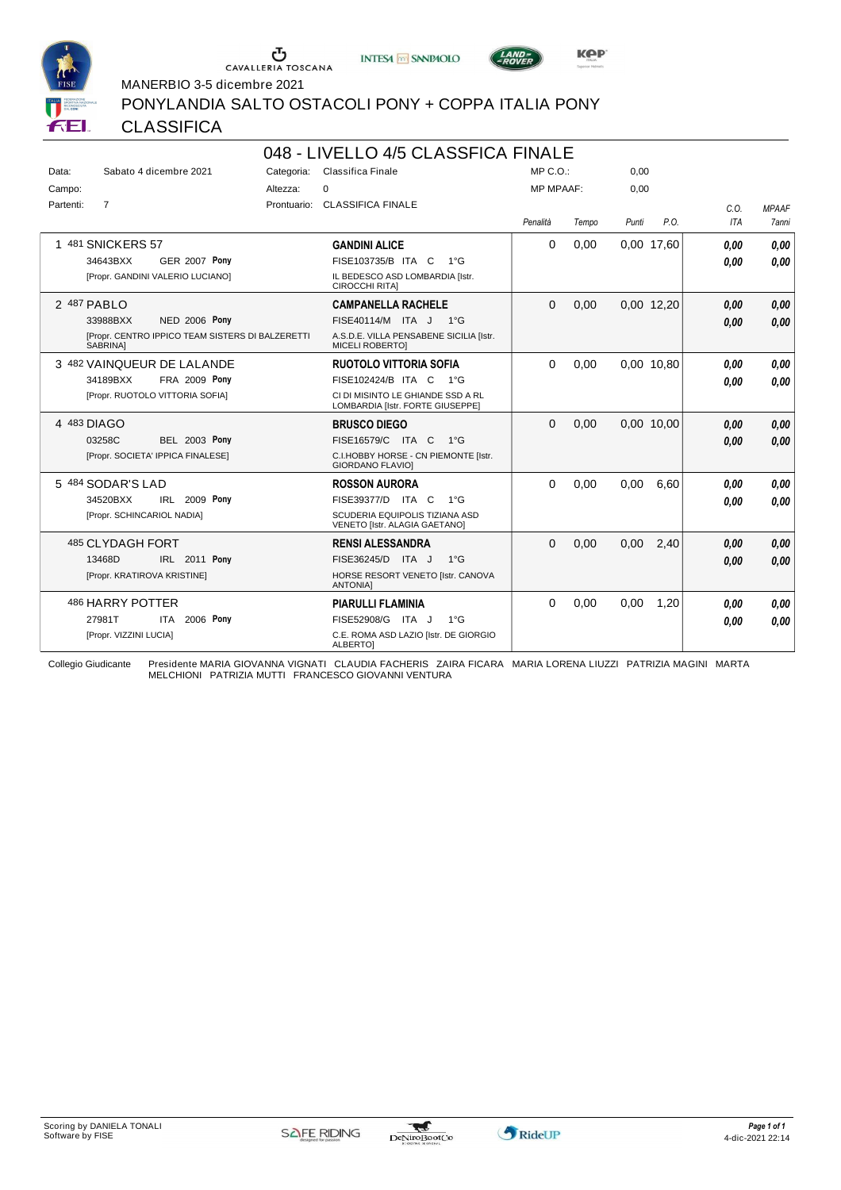





MANERBIO 3-5 dicembre 2021

PONYLANDIA SALTO OSTACOLI PONY + COPPA ITALIA PONY

#### **CLASSIFICA**

|             |                                                                     |             | 048 - LIVELLO 4/5 CLASSFICA FINALE                                    |                  |       |       |            |            |              |
|-------------|---------------------------------------------------------------------|-------------|-----------------------------------------------------------------------|------------------|-------|-------|------------|------------|--------------|
| Data:       | Sabato 4 dicembre 2021                                              | Categoria:  | Classifica Finale                                                     | MP C. O.         |       | 0,00  |            |            |              |
| Campo:      |                                                                     | Altezza:    | $\mathbf 0$                                                           | <b>MP MPAAF:</b> |       | 0.00  |            |            |              |
| Partenti:   | $\overline{7}$                                                      | Prontuario: | <b>CLASSIFICA FINALE</b>                                              |                  |       |       |            | C.0.       | <b>MPAAF</b> |
|             |                                                                     |             |                                                                       | Penalità         | Tempo | Punti | P.O.       | <b>ITA</b> | <b>7anni</b> |
|             | 481 SNICKERS 57                                                     |             | <b>GANDINI ALICE</b>                                                  | $\Omega$         | 0.00  |       | 0,00 17,60 | 0.00       | 0.00         |
|             | 34643BXX<br><b>GER 2007 Pony</b>                                    |             | FISE103735/B ITA C<br>$1^{\circ}$ G                                   |                  |       |       |            | 0.00       | 0.00         |
|             | [Propr. GANDINI VALERIO LUCIANO]                                    |             | IL BEDESCO ASD LOMBARDIA [Istr.<br>CIROCCHI RITA]                     |                  |       |       |            |            |              |
| 2 487 PABLO |                                                                     |             | <b>CAMPANELLA RACHELE</b>                                             | $\Omega$         | 0,00  |       | 0.00 12,20 | 0,00       | 0,00         |
|             | <b>NED 2006 Pony</b><br>33988BXX                                    |             | FISE40114/M ITA J 1°G                                                 |                  |       |       |            | 0.00       | 0,00         |
|             | [Propr. CENTRO IPPICO TEAM SISTERS DI BALZERETTI<br><b>SABRINAI</b> |             | A.S.D.E. VILLA PENSABENE SICILIA [Istr.<br><b>MICELI ROBERTOI</b>     |                  |       |       |            |            |              |
|             | 3 482 VAINQUEUR DE LALANDE                                          |             | <b>RUOTOLO VITTORIA SOFIA</b>                                         | $\Omega$         | 0,00  |       | 0,00 10,80 | 0.00       | 0.00         |
|             | <b>FRA 2009 Pony</b><br>34189BXX                                    |             | FISE102424/B ITA C<br>1°G                                             |                  |       |       |            | 0.00       | 0.00         |
|             | [Propr. RUOTOLO VITTORIA SOFIA]                                     |             | CI DI MISINTO LE GHIANDE SSD A RL<br>LOMBARDIA [Istr. FORTE GIUSEPPE] |                  |       |       |            |            |              |
| 4 483 DIAGO |                                                                     |             | <b>BRUSCO DIEGO</b>                                                   | $\Omega$         | 0,00  |       | 0.00 10.00 | 0,00       | 0,00         |
|             | <b>BEL 2003 Pony</b><br>03258C                                      |             | FISE16579/C ITA C<br>$1^{\circ}G$                                     |                  |       |       |            | 0.00       | 0,00         |
|             | [Propr. SOCIETA' IPPICA FINALESE]                                   |             | C.I.HOBBY HORSE - CN PIEMONTE [Istr.<br><b>GIORDANO FLAVIOI</b>       |                  |       |       |            |            |              |
|             | 5 484 SODAR'S LAD                                                   |             | <b>ROSSON AURORA</b>                                                  | $\Omega$         | 0.00  | 0.00  | 6.60       | 0.00       | 0.00         |
|             | IRL 2009 Pony<br>34520BXX                                           |             | FISE39377/D ITA C<br>$1^{\circ}G$                                     |                  |       |       |            | 0.00       | 0.00         |
|             | [Propr. SCHINCARIOL NADIA]                                          |             | SCUDERIA EQUIPOLIS TIZIANA ASD<br>VENETO [Istr. ALAGIA GAETANO]       |                  |       |       |            |            |              |
|             | 485 CLYDAGH FORT                                                    |             | <b>RENSI ALESSANDRA</b>                                               | $\Omega$         | 0,00  | 0,00  | 2,40       | 0.00       | 0,00         |
|             | IRL 2011 Pony<br>13468D                                             |             | FISE36245/D ITA J<br>$1^{\circ}G$                                     |                  |       |       |            | 0.00       | 0.00         |
|             | [Propr. KRATIROVA KRISTINE]                                         |             | HORSE RESORT VENETO [Istr. CANOVA<br><b>ANTONIA]</b>                  |                  |       |       |            |            |              |
|             | 486 HARRY POTTER                                                    |             | <b>PIARULLI FLAMINIA</b>                                              | 0                | 0.00  | 0.00  | 1.20       | 0.00       | 0.00         |
|             | 2006 Pony<br>27981T<br><b>ITA</b>                                   |             | FISE52908/G ITA J<br>$1^{\circ}$ G                                    |                  |       |       |            | 0.00       | 0.00         |
|             | [Propr. VIZZINI LUCIA]                                              |             | C.E. ROMA ASD LAZIO [Istr. DE GIORGIO<br><b>ALBERTOI</b>              |                  |       |       |            |            |              |

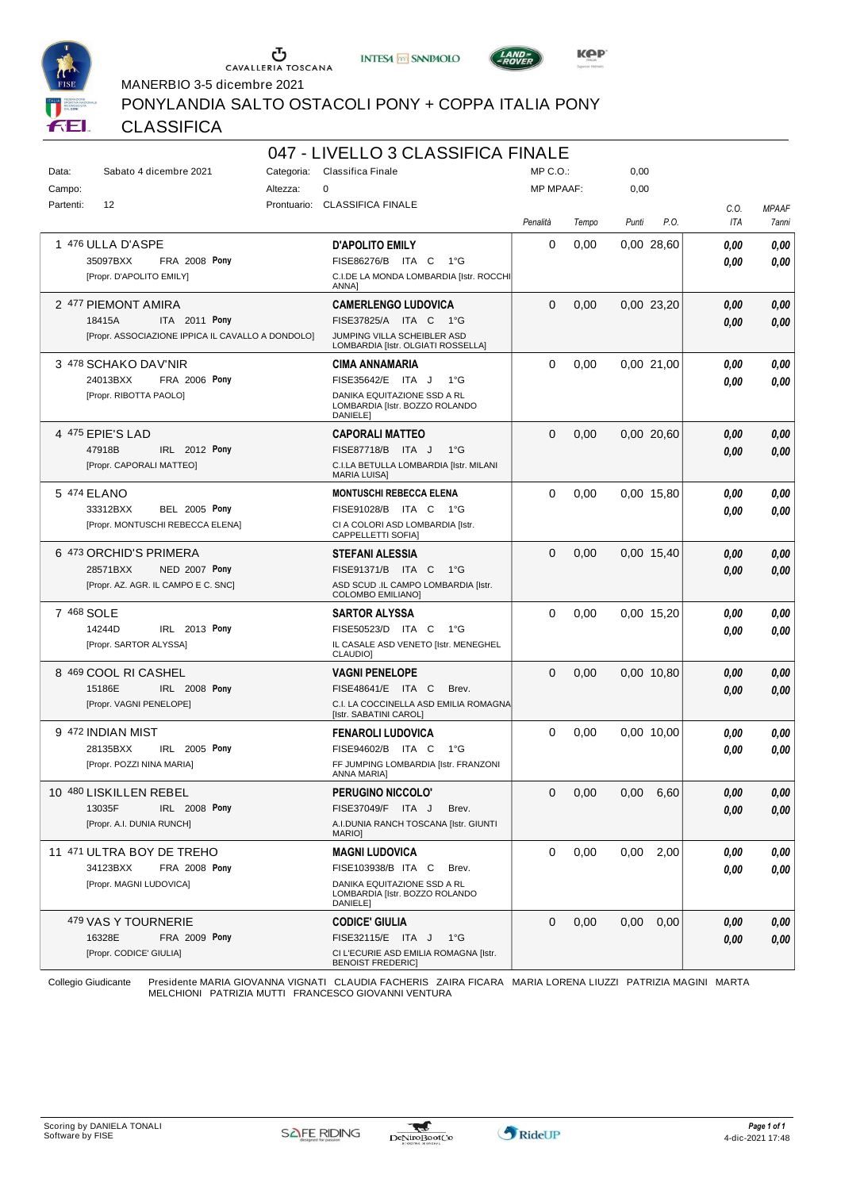





MANERBIO 3-5 dicembre 2021

PONYLANDIA SALTO OSTACOLI PONY + COPPA ITALIA PONY

#### **CLASSIFICA**

|           |                                                   |             | 047 - LIVELLO 3 CLASSIFICA FINALE                                         |                  |       |       |            |            |              |
|-----------|---------------------------------------------------|-------------|---------------------------------------------------------------------------|------------------|-------|-------|------------|------------|--------------|
| Data:     | Sabato 4 dicembre 2021                            | Categoria:  | Classifica Finale                                                         | $MP C. O.$ :     |       | 0,00  |            |            |              |
| Campo:    |                                                   | Altezza:    | 0                                                                         | <b>MP MPAAF:</b> |       | 0,00  |            |            |              |
| Partenti: | 12                                                | Prontuario: | <b>CLASSIFICA FINALE</b>                                                  |                  |       |       |            | C.O.       | <b>MPAAF</b> |
|           |                                                   |             |                                                                           | Penalità         | Tempo | Punti | P.O.       | <b>ITA</b> | 7anni        |
|           | 1 476 ULLA D'ASPE                                 |             | <b>D'APOLITO EMILY</b>                                                    | 0                | 0,00  |       | 0.00 28,60 | 0.00       | 0,00         |
|           | 35097BXX<br><b>FRA 2008 Pony</b>                  |             | FISE86276/B ITA C<br>$1^{\circ}G$                                         |                  |       |       |            | 0,00       | 0,00         |
|           | [Propr. D'APOLITO EMILY]                          |             | C.I.DE LA MONDA LOMBARDIA [Istr. ROCCHI<br>ANNA]                          |                  |       |       |            |            |              |
|           | 2 477 PIEMONT AMIRA                               |             | <b>CAMERLENGO LUDOVICA</b>                                                | $\Omega$         | 0,00  |       | 0.00 23.20 | 0,00       | 0,00         |
|           | 18415A<br>ITA 2011 Pony                           |             | FISE37825/A ITA C<br>$1^{\circ}G$                                         |                  |       |       |            | 0,00       | 0,00         |
|           | [Propr. ASSOCIAZIONE IPPICA IL CAVALLO A DONDOLO] |             | JUMPING VILLA SCHEIBLER ASD<br>LOMBARDIA [Istr. OLGIATI ROSSELLA]         |                  |       |       |            |            |              |
|           | 3 478 SCHAKO DAV'NIR                              |             | <b>CIMA ANNAMARIA</b>                                                     | $\Omega$         | 0,00  |       | 0,00 21,00 | 0,00       | 0,00         |
|           | FRA 2006 Pony<br>24013BXX                         |             | FISE35642/E ITA J<br>$1^{\circ}G$                                         |                  |       |       |            | 0.00       | 0,00         |
|           | [Propr. RIBOTTA PAOLO]                            |             | DANIKA EQUITAZIONE SSD A RL<br>LOMBARDIA [Istr. BOZZO ROLANDO             |                  |       |       |            |            |              |
|           | 4 475 EPIE'S LAD                                  |             | DANIELE]<br><b>CAPORALI MATTEO</b>                                        | 0                | 0,00  |       | 0.00 20.60 | 0,00       | 0,00         |
|           | 47918B<br>IRL 2012 Pony                           |             | FISE87718/B ITA J<br>$1^{\circ}G$                                         |                  |       |       |            | 0.00       | 0,00         |
|           | [Propr. CAPORALI MATTEO]                          |             | C.I.LA BETULLA LOMBARDIA [Istr. MILANI                                    |                  |       |       |            |            |              |
|           |                                                   |             | <b>MARIA LUISA]</b>                                                       |                  |       |       |            |            |              |
|           | 5 474 ELANO                                       |             | <b>MONTUSCHI REBECCA ELENA</b>                                            | $\Omega$         | 0,00  |       | 0.00 15,80 | 0.00       | 0,00         |
|           | 33312BXX<br><b>BEL 2005 Pony</b>                  |             | FISE91028/B ITA C<br>1°G                                                  |                  |       |       |            | 0.00       | 0.00         |
|           | [Propr. MONTUSCHI REBECCA ELENA]                  |             | CI A COLORI ASD LOMBARDIA [Istr.<br><b>CAPPELLETTI SOFIAI</b>             |                  |       |       |            |            |              |
|           | 6 473 ORCHID'S PRIMERA                            |             | <b>STEFANI ALESSIA</b>                                                    | $\Omega$         | 0,00  |       | 0.00 15.40 | 0.00       | 0,00         |
|           | 28571BXX<br>NED 2007 Pony                         |             | FISE91371/B ITA C<br>1°G                                                  |                  |       |       |            | 0.00       | 0,00         |
|           | [Propr. AZ. AGR. IL CAMPO E C. SNC]               |             | ASD SCUD .IL CAMPO LOMBARDIA [Istr.<br><b>COLOMBO EMILIANO]</b>           |                  |       |       |            |            |              |
|           | 7 468 SOLE                                        |             | <b>SARTOR ALYSSA</b>                                                      | 0                | 0,00  |       | 0.00 15.20 | 0.00       | 0,00         |
|           | IRL 2013 Pony<br>14244D                           |             | FISE50523/D ITA C<br>1°G                                                  |                  |       |       |            | 0,00       | 0.00         |
|           | [Propr. SARTOR ALYSSA]                            |             | IL CASALE ASD VENETO [Istr. MENEGHEL<br>CLAUDIO]                          |                  |       |       |            |            |              |
|           | 8 469 COOL RI CASHEL                              |             | <b>VAGNI PENELOPE</b>                                                     | $\Omega$         | 0,00  |       | 0.00 10.80 | 0.00       | 0,00         |
|           | 15186E<br><b>IRL 2008 Pony</b>                    |             | FISE48641/E ITA C<br>Brev.                                                |                  |       |       |            | 0,00       | 0,00         |
|           | [Propr. VAGNI PENELOPE]                           |             | C.I. LA COCCINELLA ASD EMILIA ROMAGNA<br>[Istr. SABATINI CAROL]           |                  |       |       |            |            |              |
|           | 9 472 INDIAN MIST                                 |             | <b>FENAROLI LUDOVICA</b>                                                  | 0                | 0,00  |       | 0.00 10.00 | 0,00       | 0,00         |
|           | IRL 2005 Pony<br>28135BXX                         |             | FISE94602/B ITA C<br>1°G                                                  |                  |       |       |            | 0,00       | 0,00         |
|           | [Propr. POZZI NINA MARIA]                         |             | FF JUMPING LOMBARDIA [Istr. FRANZONI<br><b>ANNA MARIA1</b>                |                  |       |       |            |            |              |
|           | 10 480 LISKILLEN REBEL                            |             | PERUGINO NICCOLO'                                                         | 0                | 0,00  | 0,00  | 6,60       | 0,00       | 0,00         |
|           | IRL 2008 Pony<br>13035F                           |             | FISE37049/F ITA J<br>Brev.                                                |                  |       |       |            | 0,00       | 0,00         |
|           | [Propr. A.I. DUNIA RUNCH]                         |             | A.I.DUNIA RANCH TOSCANA [Istr. GIUNTI<br>MARIO]                           |                  |       |       |            |            |              |
|           | 11 471 ULTRA BOY DE TREHO                         |             | <b>MAGNI LUDOVICA</b>                                                     | 0                | 0,00  | 0,00  | 2,00       | 0,00       | 0,00         |
|           | 34123BXX<br>FRA 2008 Pony                         |             | FISE103938/B ITA C<br>Brev.                                               |                  |       |       |            | 0,00       | 0,00         |
|           | [Propr. MAGNI LUDOVICA]                           |             | DANIKA EQUITAZIONE SSD A RL<br>LOMBARDIA [Istr. BOZZO ROLANDO<br>DANIELE] |                  |       |       |            |            |              |
|           | 479 VAS Y TOURNERIE                               |             | <b>CODICE' GIULIA</b>                                                     | 0                | 0,00  | 0,00  | 0,00       | 0,00       | 0,00         |
|           | 16328E<br><b>FRA 2009 Pony</b>                    |             | FISE32115/E ITA J<br>− 1°G                                                |                  |       |       |            | 0,00       | 0,00         |
|           | [Propr. CODICE' GIULIA]                           |             | CI L'ECURIE ASD EMILIA ROMAGNA [Istr.                                     |                  |       |       |            |            |              |
|           |                                                   |             | <b>BENOIST FREDERIC]</b>                                                  |                  |       |       |            |            |              |

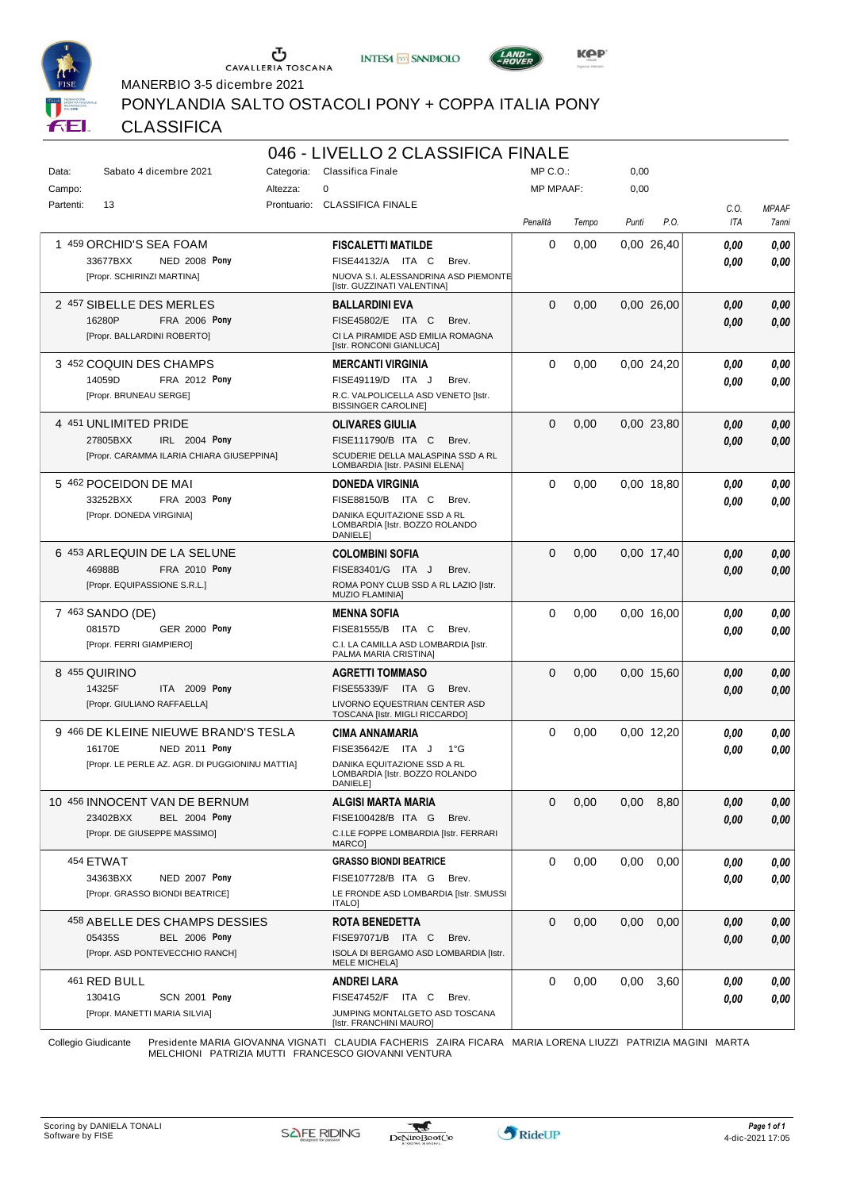





MANERBIO 3-5 dicembre 2021

PONYLANDIA SALTO OSTACOLI PONY + COPPA ITALIA PONY

#### **CLASSIFICA**

|           |                                                                                                                    |            | 046 - LIVELLO 2 CLASSIFICA FINALE                                                                                                 |                  |       |       |            |              |                       |
|-----------|--------------------------------------------------------------------------------------------------------------------|------------|-----------------------------------------------------------------------------------------------------------------------------------|------------------|-------|-------|------------|--------------|-----------------------|
| Data:     | Sabato 4 dicembre 2021                                                                                             | Categoria: | Classifica Finale                                                                                                                 | MP C. O.         |       | 0,00  |            |              |                       |
| Campo:    |                                                                                                                    | Altezza:   | $\Omega$                                                                                                                          | <b>MP MPAAF:</b> |       | 0,00  |            |              |                       |
| Partenti: | 13                                                                                                                 |            | Prontuario: CLASSIFICA FINALE                                                                                                     | Penalità         | Tempo | Punti | P.O.       | C.O.<br>ITA  | <b>MPAAF</b><br>7anni |
|           | 1 459 ORCHID'S SEA FOAM<br>33677BXX<br><b>NED 2008 Pony</b><br>[Propr. SCHIRINZI MARTINA]                          |            | <b>FISCALETTI MATILDE</b><br>FISE44132/A ITA C<br>Brev.<br>NUOVA S.I. ALESSANDRINA ASD PIEMONTE<br>[Istr. GUZZINATI VALENTINA]    | 0                | 0,00  |       | 0.00 26,40 | 0,00<br>0.00 | 0,00<br>0.00          |
|           | 2 457 SIBELLE DES MERLES<br>16280P<br>FRA 2006 Pony<br>[Propr. BALLARDINI ROBERTO]                                 |            | <b>BALLARDINI EVA</b><br>FISE45802/E ITA C<br>Brev.<br>CI LA PIRAMIDE ASD EMILIA ROMAGNA<br>[Istr. RONCONI GIANLUCA]              | $\Omega$         | 0,00  |       | 0.00 26.00 | 0,00<br>0.00 | 0,00<br>0.00          |
|           | 3 452 COQUIN DES CHAMPS<br>14059D<br>FRA 2012 Pony<br>[Propr. BRUNEAU SERGE]                                       |            | <b>MERCANTI VIRGINIA</b><br>FISE49119/D ITA J<br>Brev.<br>R.C. VALPOLICELLA ASD VENETO [Istr.<br><b>BISSINGER CAROLINE]</b>       | 0                | 0,00  |       | 0,00 24,20 | 0.00<br>0.00 | 0,00<br>0.00          |
|           | 4 451 UNLIMITED PRIDE<br>27805BXX<br>IRL 2004 Pony<br>[Propr. CARAMMA ILARIA CHIARA GIUSEPPINA]                    |            | <b>OLIVARES GIULIA</b><br>FISE111790/B ITA C<br>Brev.<br>SCUDERIE DELLA MALASPINA SSD A RL<br>LOMBARDIA [Istr. PASINI ELENA]      | $\Omega$         | 0,00  |       | 0.00 23.80 | 0.00<br>0.00 | 0,00<br>0.00          |
|           | 5 462 POCEIDON DE MAI<br>33252BXX<br>FRA 2003 Pony<br>[Propr. DONEDA VIRGINIA]                                     |            | <b>DONEDA VIRGINIA</b><br>FISE88150/B ITA C<br>Brev.<br>DANIKA EQUITAZIONE SSD A RL<br>LOMBARDIA [Istr. BOZZO ROLANDO<br>DANIELE] | 0                | 0,00  |       | 0.00 18.80 | 0.00<br>0.00 | 0,00<br>0.00          |
|           | 6 453 ARLEQUIN DE LA SELUNE<br>46988B<br>FRA 2010 Pony<br>[Propr. EQUIPASSIONE S.R.L.]                             |            | <b>COLOMBINI SOFIA</b><br>FISE83401/G ITA J<br>Brev.<br>ROMA PONY CLUB SSD A RL LAZIO [Istr.<br><b>MUZIO FLAMINIA]</b>            | $\Omega$         | 0,00  |       | 0,00 17,40 | 0.00<br>0,00 | 0,00<br>0.00          |
|           | 7 463 SANDO (DE)<br>08157D<br><b>GER 2000 Pony</b><br>[Propr. FERRI GIAMPIERO]                                     |            | <b>MENNA SOFIA</b><br>FISE81555/B ITA C<br>Brev.<br>C.I. LA CAMILLA ASD LOMBARDIA [Istr.<br>PALMA MARIA CRISTINA]                 | 0                | 0,00  |       | 0,00 16,00 | 0.00<br>0.00 | 0,00<br>0.00          |
|           | 8 455 QUIRINO<br>14325F<br>ITA 2009 Pony<br>[Propr. GIULIANO RAFFAELLA]                                            |            | <b>AGRETTI TOMMASO</b><br>FISE55339/F ITA G<br>Brev.<br>LIVORNO EQUESTRIAN CENTER ASD<br>TOSCANA [Istr. MIGLI RICCARDO]           | $\Omega$         | 0,00  |       | 0.00 15,60 | 0.00<br>0.00 | 0,00<br>0.00          |
|           | 9 466 DE KLEINE NIEUWE BRAND'S TESLA<br>NED 2011 Pony<br>16170E<br>[Propr. LE PERLE AZ. AGR. DI PUGGIONINU MATTIA] |            | CIMA ANNAMARIA<br>FISE35642/E ITA J<br>1°G<br>DANIKA EQUITAZIONE SSD A RL<br>LOMBARDIA [Istr. BOZZO ROLANDO<br>DANIELE]           | 0                | 0,00  |       | 0,00 12,20 | 0,00<br>0.00 | 0,00<br>0.00          |
|           | 10 456 INNOCENT VAN DE BERNUM<br>23402BXX<br><b>BEL 2004 Pony</b><br>[Propr. DE GIUSEPPE MASSIMO]                  |            | <b>ALGISI MARTA MARIA</b><br>FISE100428/B ITA G<br>Brev.<br>C.I.LE FOPPE LOMBARDIA [Istr. FERRARI<br>MARCO]                       | $\mathbf 0$      | 0,00  | 0,00  | 8,80       | 0.00<br>0,00 | 0,00<br>0,00          |
|           | 454 ETWAT<br><b>NED 2007 Pony</b><br>34363BXX<br>[Propr. GRASSO BIONDI BEATRICE]                                   |            | <b>GRASSO BIONDI BEATRICE</b><br>FISE107728/B ITA G<br>Brev.<br>LE FRONDE ASD LOMBARDIA [Istr. SMUSSI<br><b>ITALO]</b>            | 0                | 0,00  | 0,00  | 0,00       | 0.00<br>0,00 | 0,00<br>0.00          |
|           | 458 ABELLE DES CHAMPS DESSIES<br>05435S<br><b>BEL 2006 Pony</b><br>[Propr. ASD PONTEVECCHIO RANCH]                 |            | <b>ROTA BENEDETTA</b><br>FISE97071/B ITA C<br>Brev.<br>ISOLA DI BERGAMO ASD LOMBARDIA [Istr.<br><b>MELE MICHELA]</b>              | $\mathbf 0$      | 0,00  | 0,00  | 0,00       | 0,00<br>0,00 | 0,00<br>0,00          |
|           | 461 RED BULL<br><b>SCN 2001 Pony</b><br>13041G<br>[Propr. MANETTI MARIA SILVIA]                                    |            | <b>ANDREI LARA</b><br>FISE47452/F ITA C<br>Brev.<br>JUMPING MONTALGETO ASD TOSCANA<br>[Istr. FRANCHINI MAURO]                     | 0                | 0,00  | 0,00  | 3,60       | 0,00<br>0,00 | 0,00<br>0,00          |

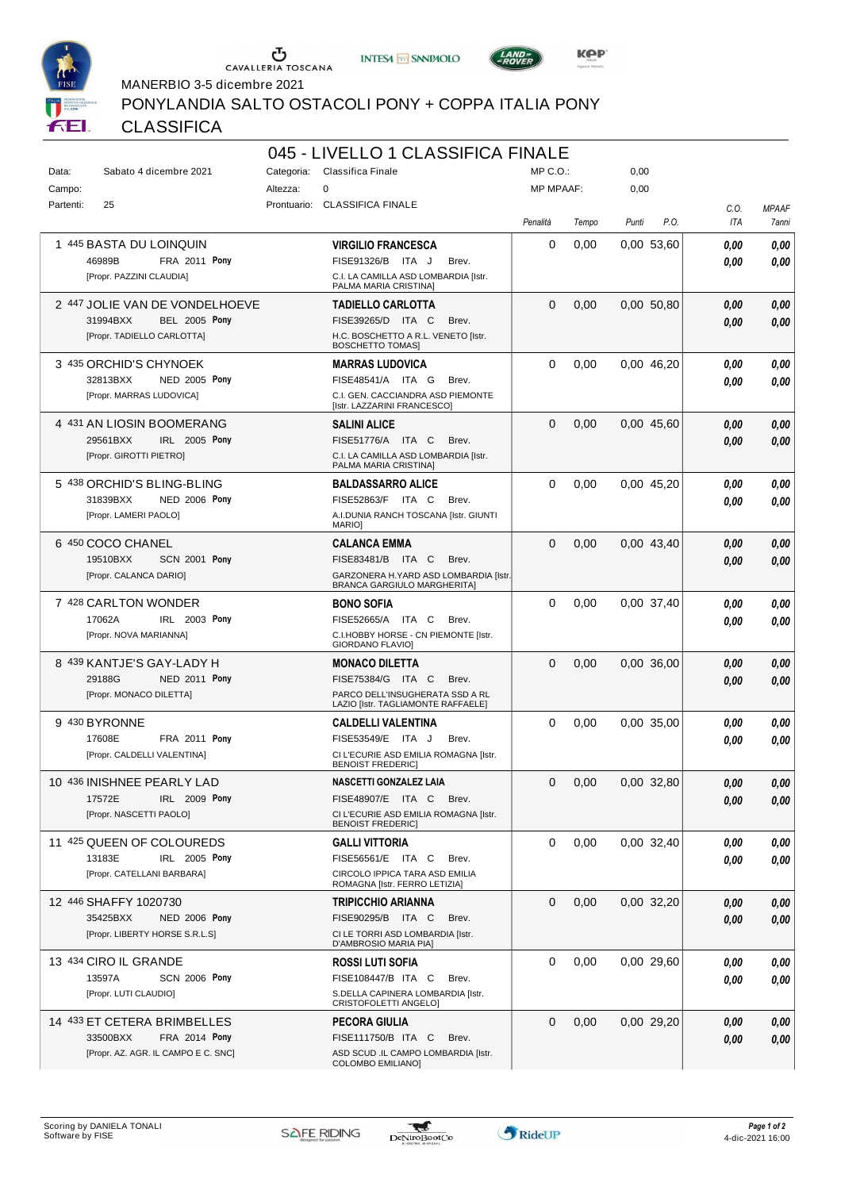





MANERBIO 3-5 dicembre 2021

PONYLANDIA SALTO OSTACOLI PONY + COPPA ITALIA PONY

# CLASSIFICA

|           |                                     |            | 045 - LIVELLO 1 CLASSIFICA FINALE                                           |                  |       |       |            |      |              |
|-----------|-------------------------------------|------------|-----------------------------------------------------------------------------|------------------|-------|-------|------------|------|--------------|
| Data:     | Sabato 4 dicembre 2021              | Categoria: | Classifica Finale                                                           | MP C.O.:         |       | 0,00  |            |      |              |
| Campo:    |                                     | Altezza:   | 0                                                                           | <b>MP MPAAF:</b> |       | 0,00  |            |      |              |
| Partenti: | 25                                  |            | Prontuario: CLASSIFICA FINALE                                               |                  |       |       |            | C.O. | <b>MPAAF</b> |
|           |                                     |            |                                                                             | Penalità         | Tempo | Punti | P.O.       | ITA  | 7anni        |
|           | 1 445 BASTA DU LOINQUIN             |            | <b>VIRGILIO FRANCESCA</b>                                                   | 0                | 0,00  |       | 0,00 53,60 | 0.00 | 0,00         |
|           | 46989B<br><b>FRA 2011 Pony</b>      |            | FISE91326/B ITA J<br>Brev.                                                  |                  |       |       |            | 0.00 | 0.00         |
|           | [Propr. PAZZINI CLAUDIA]            |            | C.I. LA CAMILLA ASD LOMBARDIA [Istr.<br>PALMA MARIA CRISTINA]               |                  |       |       |            |      |              |
|           | 2 447 JOLIE VAN DE VONDELHOEVE      |            | <b>TADIELLO CARLOTTA</b>                                                    | $\Omega$         | 0,00  |       | 0.00 50.80 | 0.00 | 0,00         |
|           | 31994BXX<br><b>BEL 2005 Pony</b>    |            | FISE39265/D ITA C<br>Brev.                                                  |                  |       |       |            | 0,00 | 0,00         |
|           | [Propr. TADIELLO CARLOTTA]          |            | H.C. BOSCHETTO A R.L. VENETO [Istr.<br><b>BOSCHETTO TOMAS]</b>              |                  |       |       |            |      |              |
|           | 3 435 ORCHID'S CHYNOEK              |            | <b>MARRAS LUDOVICA</b>                                                      | 0                | 0,00  |       | 0,00 46,20 | 0,00 | 0,00         |
|           | 32813BXX<br><b>NED 2005 Pony</b>    |            | FISE48541/A ITA G<br>Brev.                                                  |                  |       |       |            | 0,00 | 0,00         |
|           | [Propr. MARRAS LUDOVICA]            |            | C.I. GEN. CACCIANDRA ASD PIEMONTE<br>[Istr. LAZZARINI FRANCESCO]            |                  |       |       |            |      |              |
|           | 4 431 AN LIOSIN BOOMERANG           |            | <b>SALINI ALICE</b>                                                         | $\Omega$         | 0,00  |       | 0.00 45,60 | 0,00 | 0,00         |
|           | 29561BXX<br>IRL 2005 Pony           |            | FISE51776/A ITA C<br>Brev.                                                  |                  |       |       |            | 0,00 | 0,00         |
|           | [Propr. GIROTTI PIETRO]             |            | C.I. LA CAMILLA ASD LOMBARDIA [Istr.<br>PALMA MARIA CRISTINA]               |                  |       |       |            |      |              |
|           | 5 438 ORCHID'S BLING-BLING          |            | <b>BALDASSARRO ALICE</b>                                                    | $\Omega$         | 0,00  |       | 0.00 45,20 | 0,00 | 0,00         |
|           | 31839BXX<br><b>NED 2006 Pony</b>    |            | FISE52863/F ITA C<br>Brev.                                                  |                  |       |       |            | 0.00 | 0,00         |
|           | [Propr. LAMERI PAOLO]               |            | A.I.DUNIA RANCH TOSCANA [Istr. GIUNTI<br>MARIO]                             |                  |       |       |            |      |              |
|           | 6 450 COCO CHANEL                   |            | <b>CALANCA EMMA</b>                                                         | 0                | 0,00  |       | 0.00 43,40 | 0.00 | 0,00         |
|           | 19510BXX<br><b>SCN 2001 Pony</b>    |            | FISE83481/B ITA C<br>Brev.                                                  |                  |       |       |            | 0.00 | 0.00         |
|           | [Propr. CALANCA DARIO]              |            | GARZONERA H.YARD ASD LOMBARDIA [Istr.<br><b>BRANCA GARGIULO MARGHERITA]</b> |                  |       |       |            |      |              |
|           | 7 428 CARLTON WONDER                |            | <b>BONO SOFIA</b>                                                           | 0                | 0,00  |       | 0,00 37,40 | 0.00 | 0,00         |
|           | IRL 2003 Pony<br>17062A             |            | FISE52665/A ITA C<br>Brev.                                                  |                  |       |       |            | 0.00 | 0.00         |
|           | [Propr. NOVA MARIANNA]              |            | C.I.HOBBY HORSE - CN PIEMONTE [Istr.<br>GIORDANO FLAVIO]                    |                  |       |       |            |      |              |
|           | 8 439 KANTJE'S GAY-LADY H           |            | <b>MONACO DILETTA</b>                                                       | $\Omega$         | 0,00  |       | 0.00 36,00 | 0,00 | 0,00         |
|           | 29188G<br>NED 2011 Pony             |            | FISE75384/G ITA C<br>Brev.                                                  |                  |       |       |            | 0,00 | 0,00         |
|           | [Propr. MONACO DILETTA]             |            | PARCO DELL'INSUGHERATA SSD A RL<br>LAZIO [Istr. TAGLIAMONTE RAFFAELE]       |                  |       |       |            |      |              |
|           | 9 430 BYRONNE                       |            | <b>CALDELLI VALENTINA</b>                                                   | 0                | 0,00  |       | 0.00 35.00 | 0,00 | 0,00         |
|           | 17608E<br>FRA 2011 Pony             |            | FISE53549/E ITA<br>J.<br>Brev.                                              |                  |       |       |            | 0.00 | 0.00         |
|           | [Propr. CALDELLI VALENTINA]         |            | CI L'ECURIE ASD EMILIA ROMAGNA [Istr.<br><b>BENOIST FREDERIC]</b>           |                  |       |       |            |      |              |
|           | 10 436 INISHNEE PEARLY LAD          |            | NASCETTI GONZALEZ LAIA                                                      | 0                | 0,00  |       | 0,00 32,80 | 0,00 | 0,00         |
|           | 17572E<br>IRL 2009 Pony             |            | FISE48907/E ITA C<br>Brev.                                                  |                  |       |       |            | 0.00 | 0.00         |
|           | [Propr. NASCETTI PAOLO]             |            | CI L'ECURIE ASD EMILIA ROMAGNA [Istr.<br><b>BENOIST FREDERIC]</b>           |                  |       |       |            |      |              |
|           | 11 425 QUEEN OF COLOUREDS           |            | GALLI VITTORIA                                                              | $\Omega$         | 0,00  |       | 0,00 32,40 | 0,00 | 0,00         |
|           | 13183E<br>IRL 2005 Pony             |            | FISE56561/E ITA C<br>Brev.                                                  |                  |       |       |            | 0,00 | 0.00         |
|           | [Propr. CATELLANI BARBARA]          |            | CIRCOLO IPPICA TARA ASD EMILIA<br>ROMAGNA [Istr. FERRO LETIZIA]             |                  |       |       |            |      |              |
|           | 12 446 SHAFFY 1020730               |            | <b>TRIPICCHIO ARIANNA</b>                                                   | 0                | 0,00  |       | 0.00 32.20 | 0,00 | 0,00         |
|           | 35425BXX<br><b>NED 2006 Pony</b>    |            | FISE90295/B ITA C<br>Brev.                                                  |                  |       |       |            | 0,00 | 0,00         |
|           | [Propr. LIBERTY HORSE S.R.L.S]      |            | CI LE TORRI ASD LOMBARDIA [Istr.<br>D'AMBROSIO MARIA PIA]                   |                  |       |       |            |      |              |
|           | 13 434 CIRO IL GRANDE               |            | <b>ROSSI LUTI SOFIA</b>                                                     | 0                | 0,00  |       | 0,00 29,60 | 0,00 | 0,00         |
|           | <b>SCN 2006 Pony</b><br>13597A      |            | FISE108447/B ITA C<br>Brev.                                                 |                  |       |       |            | 0,00 | 0,00         |
|           | [Propr. LUTI CLAUDIO]               |            | S.DELLA CAPINERA LOMBARDIA [Istr.<br>CRISTOFOLETTI ANGELO]                  |                  |       |       |            |      |              |
|           | 14 433 ET CETERA BRIMBELLES         |            | PECORA GIULIA                                                               | 0                | 0,00  |       | 0.00 29.20 | 0,00 | 0,00         |
|           | 33500BXX<br>FRA 2014 Pony           |            | FISE111750/B ITA C<br>Brev.                                                 |                  |       |       |            | 0,00 | 0,00         |
|           | [Propr. AZ. AGR. IL CAMPO E C. SNC] |            | ASD SCUD .IL CAMPO LOMBARDIA [Istr.<br><b>COLOMBO EMILIANO]</b>             |                  |       |       |            |      |              |

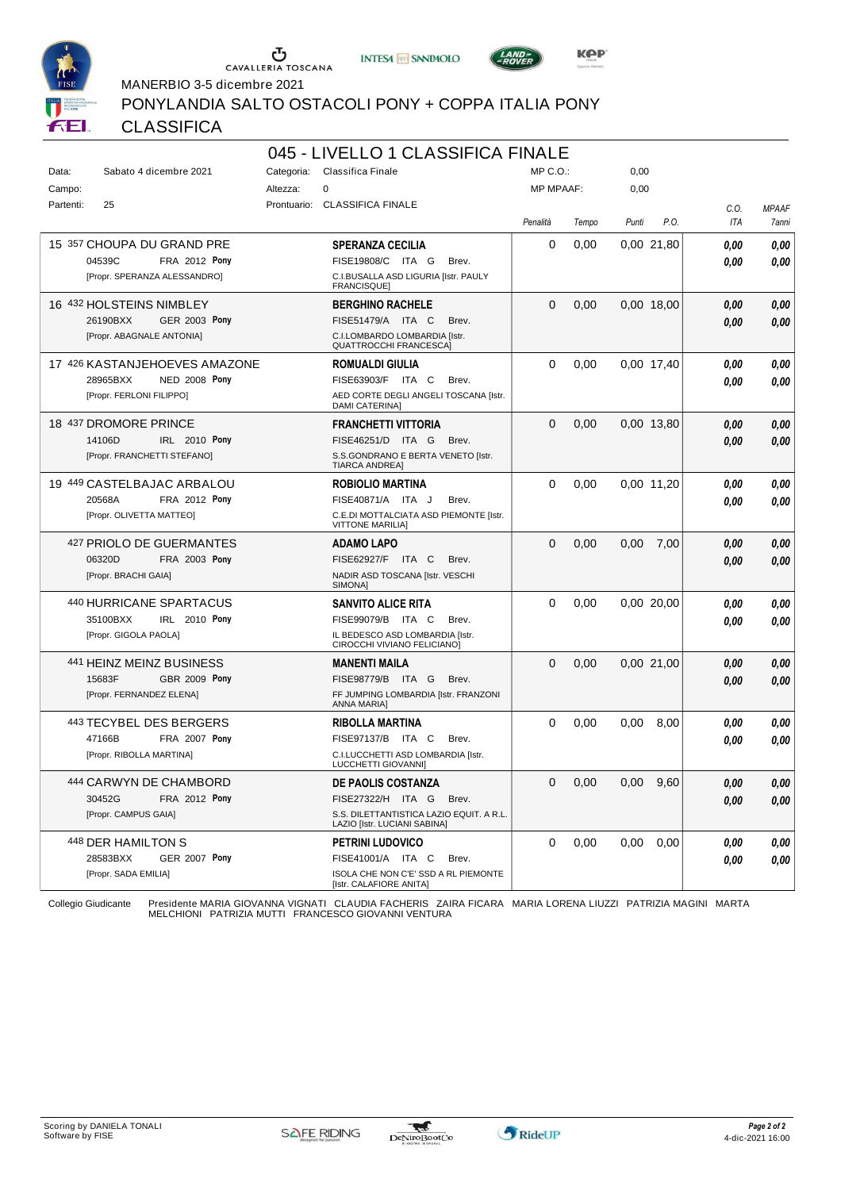





PONYLANDIA SALTO OSTACOLI PONY + COPPA ITALIA PONY

MANERBIO 3-5 dicembre 2021

# CLASSIFICA

|           |                                  |                         | 045 - LIVELLO 1 CLASSIFICA FINALE                                        |                  |       |       |               |      |              |
|-----------|----------------------------------|-------------------------|--------------------------------------------------------------------------|------------------|-------|-------|---------------|------|--------------|
| Data:     | Sabato 4 dicembre 2021           | Categoria:              | Classifica Finale                                                        | MP C. O.         |       | 0,00  |               |      |              |
| Campo:    |                                  | $\mathbf 0$<br>Altezza: |                                                                          | <b>MP MPAAF:</b> |       | 0,00  |               |      |              |
| Partenti: | 25                               | Prontuario:             | <b>CLASSIFICA FINALE</b>                                                 |                  |       |       |               | C.O. | <b>MPAAF</b> |
|           |                                  |                         |                                                                          | Penalità         | Tempo | Punti | P.O.          | ITA  | 7anni        |
|           | 15 357 CHOUPA DU GRAND PRE       |                         | <b>SPERANZA CECILIA</b>                                                  | 0                | 0,00  |       | 0.00 21.80    | 0.00 | 0,00         |
|           | 04539C<br>FRA 2012 Pony          |                         | FISE19808/C ITA G<br>Brev.                                               |                  |       |       |               |      |              |
|           | [Propr. SPERANZA ALESSANDRO]     |                         | C.I.BUSALLA ASD LIGURIA [Istr. PAULY                                     |                  |       |       |               | 0.00 | 0.00         |
|           |                                  |                         | <b>FRANCISQUE1</b>                                                       |                  |       |       |               |      |              |
|           | 16 432 HOLSTEINS NIMBLEY         |                         | <b>BERGHINO RACHELE</b>                                                  | $\Omega$         | 0,00  |       | 0.00 18.00    | 0.00 | 0,00         |
|           | 26190BXX<br><b>GER 2003 Pony</b> |                         | FISE51479/A ITA C<br>Brev.                                               |                  |       |       |               | 0,00 | 0,00         |
|           | [Propr. ABAGNALE ANTONIA]        |                         | C.I.LOMBARDO LOMBARDIA [Istr.<br><b>QUATTROCCHI FRANCESCA]</b>           |                  |       |       |               |      |              |
|           | 17 426 KASTANJEHOEVES AMAZONE    |                         | <b>ROMUALDI GIULIA</b>                                                   | $\Omega$         | 0,00  |       | 0.00 17.40    | 0,00 | 0,00         |
|           | 28965BXX<br><b>NED 2008 Pony</b> |                         | FISE63903/F ITA C<br>Brev.                                               |                  |       |       |               | 0.00 | 0,00         |
|           | [Propr. FERLONI FILIPPO]         |                         | AED CORTE DEGLI ANGELI TOSCANA [Istr.<br>DAMI CATERINA]                  |                  |       |       |               |      |              |
|           | 18 437 DROMORE PRINCE            |                         | <b>FRANCHETTI VITTORIA</b>                                               | $\Omega$         | 0,00  |       | 0.00 13,80    | 0,00 | 0,00         |
|           | 14106D<br>IRL 2010 Pony          |                         | FISE46251/D ITA G<br>Brev.                                               |                  |       |       |               | 0.00 | 0,00         |
|           | [Propr. FRANCHETTI STEFANO]      |                         | S.S.GONDRANO E BERTA VENETO [Istr.<br><b>TIARCA ANDREA]</b>              |                  |       |       |               |      |              |
|           | 19 449 CASTELBAJAC ARBALOU       |                         | <b>ROBIOLIO MARTINA</b>                                                  | $\Omega$         | 0,00  |       | 0.00 11.20    | 0.00 | 0,00         |
|           | FRA 2012 Pony<br>20568A          |                         | FISE40871/A ITA J<br>Brev.                                               |                  |       |       |               | 0.00 | 0.00         |
|           | [Propr. OLIVETTA MATTEO]         |                         | C.E.DI MOTTALCIATA ASD PIEMONTE [Istr.<br><b>VITTONE MARILIA]</b>        |                  |       |       |               |      |              |
|           | 427 PRIOLO DE GUERMANTES         |                         | <b>ADAMO LAPO</b>                                                        | $\Omega$         | 0,00  | 0.00  | 7,00          | 0.00 | 0,00         |
|           | <b>FRA 2003 Pony</b><br>06320D   |                         | FISE62927/F ITA C<br>Brev.                                               |                  |       |       |               | 0.00 | 0.00         |
|           | [Propr. BRACHI GAIA]             |                         | NADIR ASD TOSCANA [Istr. VESCHI<br>SIMONA]                               |                  |       |       |               |      |              |
|           | 440 HURRICANE SPARTACUS          |                         | <b>SANVITO ALICE RITA</b>                                                | $\Omega$         | 0,00  |       | 0.00 20.00    | 0.00 | 0,00         |
|           | 35100BXX<br><b>IRL</b> 2010 Pony |                         | FISE99079/B ITA C<br>Brev.                                               |                  |       |       |               | 0.00 | 0.00         |
|           | [Propr. GIGOLA PAOLA]            |                         | IL BEDESCO ASD LOMBARDIA [Istr.<br>CIROCCHI VIVIANO FELICIANO]           |                  |       |       |               |      |              |
|           | 441 HEINZ MEINZ BUSINESS         |                         | <b>MANENTI MAILA</b>                                                     | $\Omega$         | 0,00  |       | 0.00 21.00    | 0,00 | 0,00         |
|           | GBR 2009 Pony<br>15683F          |                         | FISE98779/B ITA G<br>Brev.                                               |                  |       |       |               | 0.00 | 0,00         |
|           | [Propr. FERNANDEZ ELENA]         |                         | FF JUMPING LOMBARDIA [Istr. FRANZONI<br><b>ANNA MARIA]</b>               |                  |       |       |               |      |              |
|           | 443 TECYBEL DES BERGERS          |                         | <b>RIBOLLA MARTINA</b>                                                   | $\Omega$         | 0,00  | 0,00  | 8,00          | 0.00 | 0,00         |
|           | 47166B<br>FRA 2007 Pony          |                         | FISE97137/B ITA C<br>Brev.                                               |                  |       |       |               | 0.00 | 0.00         |
|           | [Propr. RIBOLLA MARTINA]         |                         | C.I.LUCCHETTI ASD LOMBARDIA [Istr.<br>LUCCHETTI GIOVANNI]                |                  |       |       |               |      |              |
|           | 444 CARWYN DE CHAMBORD           |                         | DE PAOLIS COSTANZA                                                       | 0                | 0,00  |       | $0,00$ $9,60$ | 0,00 | 0,00         |
|           | 30452G<br><b>FRA 2012 Pony</b>   |                         | FISE27322/H ITA G<br>Brev.                                               |                  |       |       |               | 0.00 | 0.00         |
|           | [Propr. CAMPUS GAIA]             |                         | S.S. DILETTANTISTICA LAZIO EQUIT. A R.L.<br>LAZIO [Istr. LUCIANI SABINA] |                  |       |       |               |      |              |
|           | 448 DER HAMILTON S               |                         | <b>PETRINI LUDOVICO</b>                                                  | $\Omega$         | 0,00  | 0,00  | 0,00          | 0,00 | 0,00         |
|           | 28583BXX<br><b>GER 2007 Pony</b> |                         | FISE41001/A ITA C<br>Brev.                                               |                  |       |       |               | 0,00 | 0.00         |
|           | [Propr. SADA EMILIA]             |                         | ISOLA CHE NON C'E' SSD A RL PIEMONTE<br>[Istr. CALAFIORE ANITA]          |                  |       |       |               |      |              |
|           |                                  |                         | <b>UDIA EACUEDIC</b>                                                     |                  |       |       |               |      |              |

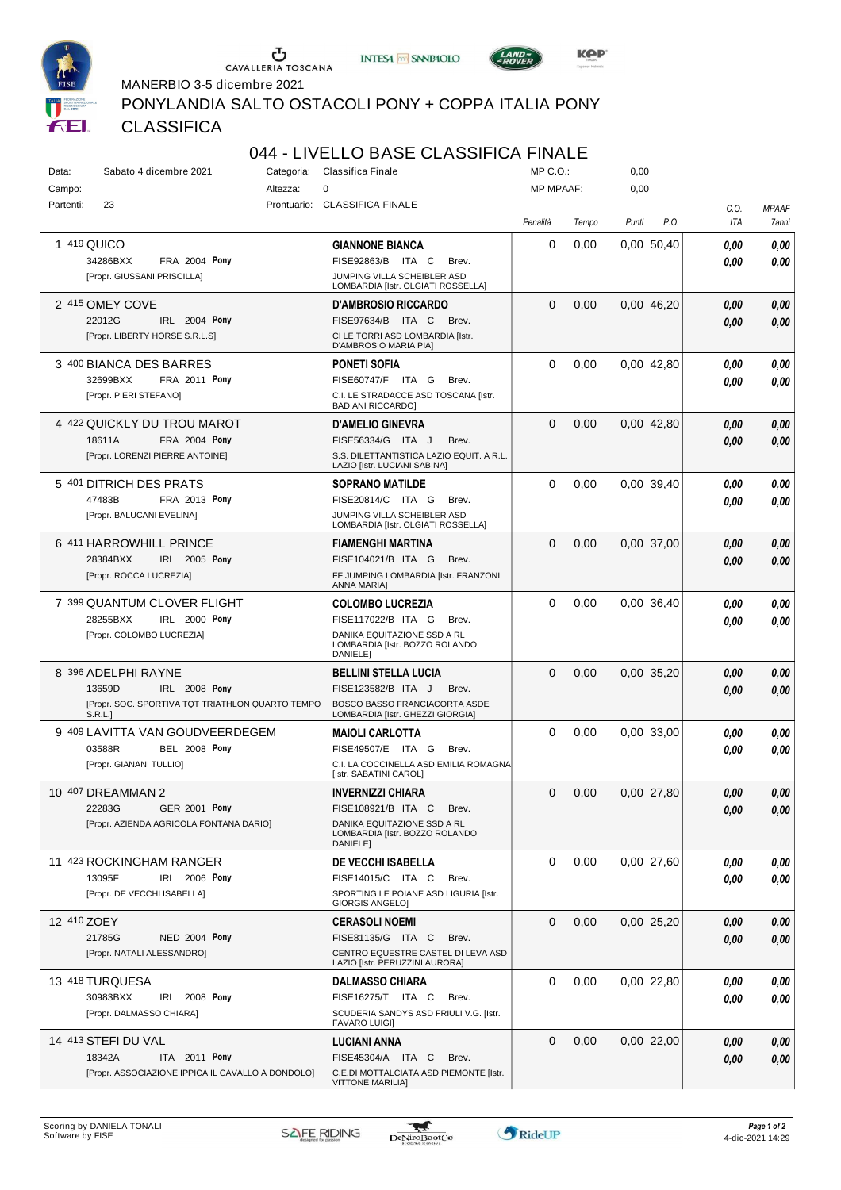





MANERBIO 3-5 dicembre 2021

PONYLANDIA SALTO OSTACOLI PONY + COPPA ITALIA PONY

# CLASSIFICA

|             |                                                        |          | 044 - LIVELLO BASE CLASSIFICA FINALE                                     |                  |       |            |      |      |              |
|-------------|--------------------------------------------------------|----------|--------------------------------------------------------------------------|------------------|-------|------------|------|------|--------------|
| Data:       | Sabato 4 dicembre 2021                                 |          | Categoria: Classifica Finale                                             | MP C.O.:         |       | 0,00       |      |      |              |
| Campo:      |                                                        | Altezza: | $\mathbf 0$                                                              | <b>MP MPAAF:</b> |       | 0,00       |      |      |              |
| Partenti:   | 23                                                     |          | Prontuario: CLASSIFICA FINALE                                            |                  |       |            |      | C.O. | <b>MPAAF</b> |
|             |                                                        |          |                                                                          | Penalità         | Tempo | Punti      | P.O. | ITA  | 7anni        |
|             | 1 419 QUICO                                            |          | <b>GIANNONE BIANCA</b>                                                   | 0                | 0,00  | 0,00 50,40 |      | 0.00 | 0,00         |
|             | 34286BXX<br><b>FRA 2004 Pony</b>                       |          | FISE92863/B ITA C<br>Brev.                                               |                  |       |            |      | 0.00 | 0,00         |
|             | [Propr. GIUSSANI PRISCILLA]                            |          | JUMPING VILLA SCHEIBLER ASD                                              |                  |       |            |      |      |              |
|             |                                                        |          | LOMBARDIA [Istr. OLGIATI ROSSELLA]                                       |                  |       |            |      |      |              |
|             | 2 415 OMEY COVE                                        |          | <b>D'AMBROSIO RICCARDO</b>                                               | $\Omega$         | 0,00  | 0,00 46,20 |      | 0,00 | 0,00         |
|             | 22012G<br>IRL 2004 Pony                                |          | FISE97634/B ITA C<br>Brev.                                               |                  |       |            |      | 0.00 | 0,00         |
|             | [Propr. LIBERTY HORSE S.R.L.S]                         |          | CI LE TORRI ASD LOMBARDIA [Istr.<br>D'AMBROSIO MARIA PIA]                |                  |       |            |      |      |              |
|             | 3 400 BIANCA DES BARRES                                |          | <b>PONETI SOFIA</b>                                                      | $\Omega$         | 0,00  | 0.00 42,80 |      | 0.00 | 0,00         |
|             | 32699BXX<br>FRA 2011 Pony                              |          | FISE60747/F ITA G<br>Brev.                                               |                  |       |            |      | 0.00 | 0,00         |
|             | [Propr. PIERI STEFANO]                                 |          | C.I. LE STRADACCE ASD TOSCANA [Istr.                                     |                  |       |            |      |      |              |
|             |                                                        |          | <b>BADIANI RICCARDO]</b>                                                 |                  |       |            |      |      |              |
|             | 4 422 QUICKLY DU TROU MAROT                            |          | <b>D'AMELIO GINEVRA</b>                                                  | $\Omega$         | 0,00  | 0,00 42,80 |      | 0,00 | 0,00         |
|             | 18611A<br>FRA 2004 Pony                                |          | FISE56334/G ITA J<br>Brev.                                               |                  |       |            |      | 0.00 | 0,00         |
|             | [Propr. LORENZI PIERRE ANTOINE]                        |          | S.S. DILETTANTISTICA LAZIO EQUIT. A R.L.<br>LAZIO [Istr. LUCIANI SABINA] |                  |       |            |      |      |              |
|             | 5 401 DITRICH DES PRATS                                |          | SOPRANO MATILDE                                                          | $\Omega$         | 0,00  | 0.00 39.40 |      | 0,00 | 0,00         |
|             | FRA 2013 Pony<br>47483B                                |          | FISE20814/C ITA G<br>Brev.                                               |                  |       |            |      | 0.00 | 0,00         |
|             | [Propr. BALUCANI EVELINA]                              |          | JUMPING VILLA SCHEIBLER ASD                                              |                  |       |            |      |      |              |
|             |                                                        |          | LOMBARDIA [Istr. OLGIATI ROSSELLA]                                       |                  |       |            |      |      |              |
|             | 6 411 HARROWHILL PRINCE                                |          | FIAMENGHI MARTINA                                                        | $\Omega$         | 0,00  | 0,00 37,00 |      | 0,00 | 0,00         |
|             | 28384BXX<br>IRL 2005 Pony                              |          | FISE104021/B ITA G<br>Brev.                                              |                  |       |            |      | 0.00 | 0,00         |
|             | [Propr. ROCCA LUCREZIA]                                |          | FF JUMPING LOMBARDIA [Istr. FRANZONI<br><b>ANNA MARIA]</b>               |                  |       |            |      |      |              |
|             |                                                        |          |                                                                          |                  |       |            |      |      |              |
|             | 7 399 QUANTUM CLOVER FLIGHT<br>IRL 2000 Pony           |          | <b>COLOMBO LUCREZIA</b>                                                  | $\Omega$         | 0,00  | 0.00 36.40 |      | 0,00 | 0,00         |
|             | 28255BXX<br>[Propr. COLOMBO LUCREZIA]                  |          | FISE117022/B ITA G<br>Brev.<br>DANIKA EQUITAZIONE SSD A RL               |                  |       |            |      | 0.00 | 0,00         |
|             |                                                        |          | LOMBARDIA [Istr. BOZZO ROLANDO<br>DANIELE]                               |                  |       |            |      |      |              |
|             | 8 396 ADELPHI RAYNE                                    |          | BELLINI STELLA LUCIA                                                     | $\Omega$         | 0,00  | 0,00 35,20 |      | 0,00 | 0,00         |
|             | 13659D<br>IRL 2008 Pony                                |          | FISE123582/B ITA J<br>Brev.                                              |                  |       |            |      | 0.00 | 0,00         |
|             | [Propr. SOC. SPORTIVA TQT TRIATHLON QUARTO TEMPO       |          | <b>BOSCO BASSO FRANCIACORTA ASDE</b>                                     |                  |       |            |      |      |              |
|             | S.R.L.                                                 |          | LOMBARDIA [Istr. GHEZZI GIORGIA]                                         |                  |       |            |      |      |              |
|             | 9 409 LAVITTA VAN GOUDVEERDEGEM                        |          | <b>MAIOLI CARLOTTA</b>                                                   | 0                | 0,00  | 0,00 33,00 |      | 0,00 | 0,00         |
|             | <b>BEL 2008 Pony</b><br>03588R                         |          | FISE49507/E ITA G<br>Brev.                                               |                  |       |            |      | 0.00 | 0.00         |
|             | [Propr. GIANANI TULLIO]                                |          | C.I. LA COCCINELLA ASD EMILIA ROMAGNA<br>[Istr. SABATINI CAROL]          |                  |       |            |      |      |              |
|             |                                                        |          |                                                                          | $\Omega$         |       |            |      |      |              |
|             | 10 407 DREAMMAN 2<br>22283G<br><b>GER 2001 Pony</b>    |          | <b>INVERNIZZI CHIARA</b><br>FISE108921/B ITA C<br>Brev.                  |                  | 0,00  | 0,00 27,80 |      | 0,00 | 0,00         |
|             | [Propr. AZIENDA AGRICOLA FONTANA DARIO]                |          | DANIKA EQUITAZIONE SSD A RL                                              |                  |       |            |      | 0,00 | 0,00         |
|             |                                                        |          | LOMBARDIA [Istr. BOZZO ROLANDO                                           |                  |       |            |      |      |              |
|             |                                                        |          | DANIELE]                                                                 |                  |       |            |      |      |              |
|             | 11 423 ROCKINGHAM RANGER                               |          | DE VECCHI ISABELLA                                                       | 0                | 0,00  | 0,00 27,60 |      | 0.00 | 0,00         |
|             | IRL 2006 Pony<br>13095F<br>[Propr. DE VECCHI ISABELLA] |          | FISE14015/C ITA C<br>Brev.<br>SPORTING LE POIANE ASD LIGURIA [Istr.      |                  |       |            |      | 0.00 | 0,00         |
|             |                                                        |          | <b>GIORGIS ANGELO]</b>                                                   |                  |       |            |      |      |              |
| 12 410 ZOEY |                                                        |          | <b>CERASOLI NOEMI</b>                                                    | 0                | 0,00  | 0,00 25,20 |      | 0.00 | 0,00         |
|             | 21785G<br><b>NED 2004 Pony</b>                         |          | FISE81135/G ITA C<br>Brev.                                               |                  |       |            |      | 0,00 | 0,00         |
|             | [Propr. NATALI ALESSANDRO]                             |          | CENTRO EQUESTRE CASTEL DI LEVA ASD                                       |                  |       |            |      |      |              |
|             |                                                        |          | LAZIO [Istr. PERUZZINI AURORA]                                           |                  |       |            |      |      |              |
|             | 13 418 TURQUESA                                        |          | DALMASSO CHIARA                                                          | 0                | 0,00  | 0,00 22,80 |      | 0.00 | 0,00         |
|             | 30983BXX<br>IRL 2008 Pony                              |          | FISE16275/T ITA C<br>Brev.                                               |                  |       |            |      | 0.00 | 0,00         |
|             | [Propr. DALMASSO CHIARA]                               |          | SCUDERIA SANDYS ASD FRIULI V.G. [Istr.<br><b>FAVARO LUIGI]</b>           |                  |       |            |      |      |              |
|             | 14 413 STEFI DU VAL                                    |          | <b>LUCIANI ANNA</b>                                                      | $\Omega$         | 0,00  | 0.00 22,00 |      | 0,00 | 0,00         |
|             | 18342A<br>ITA 2011 Pony                                |          | FISE45304/A ITA C<br>Brev.                                               |                  |       |            |      | 0,00 | 0,00         |
|             | [Propr. ASSOCIAZIONE IPPICA IL CAVALLO A DONDOLO]      |          | C.E.DI MOTTALCIATA ASD PIEMONTE [Istr.                                   |                  |       |            |      |      |              |
|             |                                                        |          | <b>VITTONE MARILIA]</b>                                                  |                  |       |            |      |      |              |

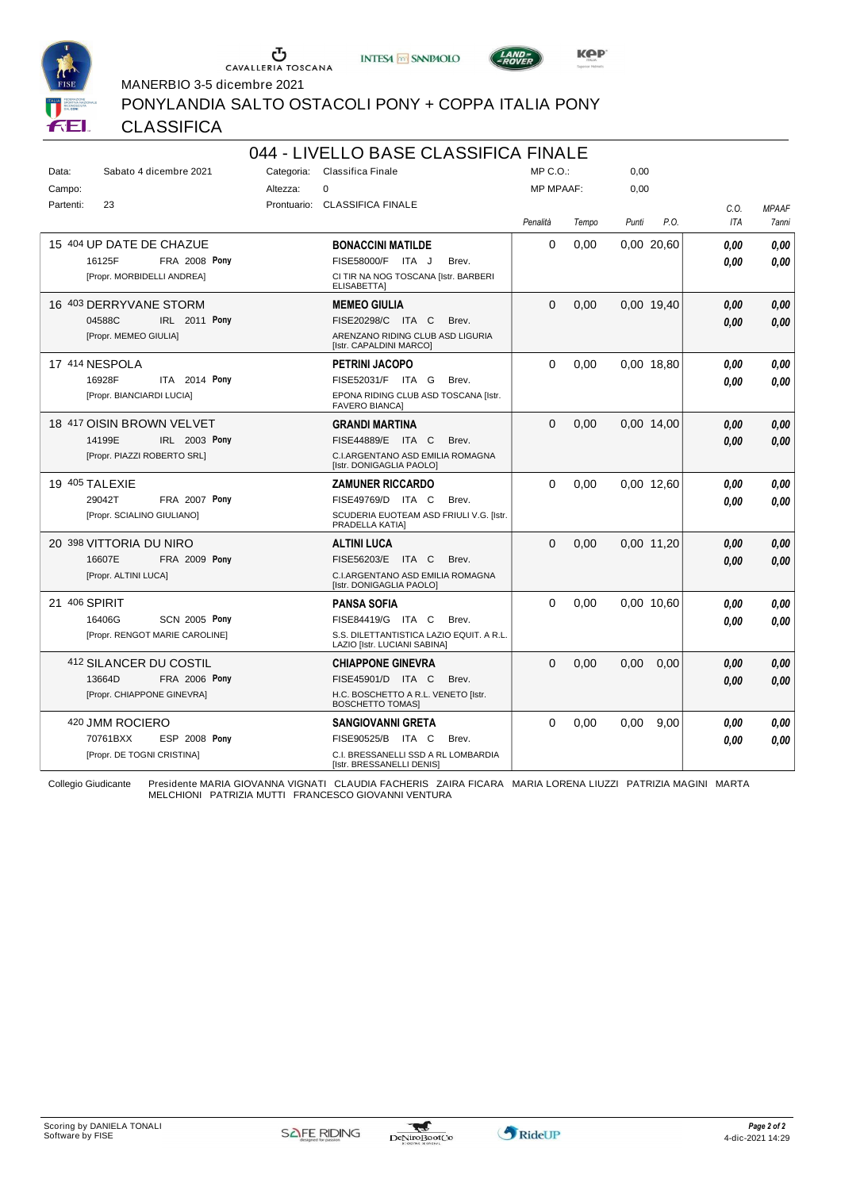





MANERBIO 3-5 dicembre 2021

PONYLANDIA SALTO OSTACOLI PONY + COPPA ITALIA PONY

# CLASSIFICA

| 044 - LIVELLO BASE CLASSIFICA FINALE |                                   |            |                                                                          |                  |       |       |            |            |              |
|--------------------------------------|-----------------------------------|------------|--------------------------------------------------------------------------|------------------|-------|-------|------------|------------|--------------|
| Data:                                | Sabato 4 dicembre 2021            | Categoria: | Classifica Finale                                                        | MP C. O.         |       | 0,00  |            |            |              |
| Campo:                               |                                   | Altezza:   | 0                                                                        | <b>MP MPAAF:</b> |       | 0,00  |            |            |              |
| Partenti:                            | 23                                |            | Prontuario: CLASSIFICA FINALE                                            |                  |       |       |            | C.O.       | <b>MPAAF</b> |
|                                      |                                   |            |                                                                          | Penalità         | Tempo | Punti | P.O.       | <b>ITA</b> | <b>7anni</b> |
|                                      | 15 404 UP DATE DE CHAZUE          |            | <b>BONACCINI MATILDE</b>                                                 | 0                | 0,00  |       | 0.00 20,60 | 0.00       | 0,00         |
|                                      | 16125F<br><b>FRA 2008 Pony</b>    |            | FISE58000/F ITA J<br>Brev.                                               |                  |       |       |            | 0.00       | 0.00         |
|                                      | [Propr. MORBIDELLI ANDREA]        |            | CI TIR NA NOG TOSCANA [Istr. BARBERI<br><b>ELISABETTA]</b>               |                  |       |       |            |            |              |
|                                      | 16 403 DERRYVANE STORM            |            | <b>MEMEO GIULIA</b>                                                      | $\Omega$         | 0,00  |       | 0,00 19,40 | 0,00       | 0,00         |
|                                      | 04588C<br>IRL 2011 Pony           |            | FISE20298/C ITA C<br>Brev.                                               |                  |       |       |            | 0.00       | 0,00         |
|                                      | [Propr. MEMEO GIULIA]             |            | ARENZANO RIDING CLUB ASD LIGURIA<br>[Istr. CAPALDINI MARCO]              |                  |       |       |            |            |              |
|                                      | 17 414 NESPOLA                    |            | <b>PETRINI JACOPO</b>                                                    | 0                | 0,00  |       | 0,00 18,80 | 0.00       | 0,00         |
|                                      | 16928F<br>ITA 2014 Pony           |            | FISE52031/F ITA G<br>Brev.                                               |                  |       |       |            | 0.00       | 0.00         |
|                                      | [Propr. BIANCIARDI LUCIA]         |            | EPONA RIDING CLUB ASD TOSCANA [Istr.<br><b>FAVERO BIANCA]</b>            |                  |       |       |            |            |              |
|                                      | 18 417 OISIN BROWN VELVET         |            | GRANDI MARTINA                                                           | 0                | 0,00  |       | 0,00 14,00 | 0.00       | 0,00         |
|                                      | IRL 2003 Pony<br>14199E           |            | FISE44889/E ITA C<br>Brev.                                               |                  |       |       |            | 0.00       | 0,00         |
|                                      | [Propr. PIAZZI ROBERTO SRL]       |            | C.I.ARGENTANO ASD EMILIA ROMAGNA<br>[Istr. DONIGAGLIA PAOLO]             |                  |       |       |            |            |              |
|                                      | 19 405 TALEXIE                    |            | <b>ZAMUNER RICCARDO</b>                                                  | 0                | 0.00  |       | 0.00 12.60 | 0.00       | 0.00         |
|                                      | 29042T<br><b>FRA 2007 Pony</b>    |            | FISE49769/D ITA C<br>Brev.                                               |                  |       |       |            | 0.00       | 0.00         |
|                                      | [Propr. SCIALINO GIULIANO]        |            | SCUDERIA EUOTEAM ASD FRIULI V.G. [Istr.<br>PRADELLA KATIA]               |                  |       |       |            |            |              |
|                                      | 20 398 VITTORIA DU NIRO           |            | <b>ALTINI LUCA</b>                                                       | $\Omega$         | 0.00  |       | 0.00 11.20 | 0.00       | 0,00         |
|                                      | 16607E<br><b>FRA 2009 Pony</b>    |            | FISE56203/E ITA C<br>Brev.                                               |                  |       |       |            | 0.00       | 0,00         |
|                                      | [Propr. ALTINI LUCA]              |            | C.I.ARGENTANO ASD EMILIA ROMAGNA<br>[Istr. DONIGAGLIA PAOLO]             |                  |       |       |            |            |              |
|                                      | 21 406 SPIRIT                     |            | <b>PANSA SOFIA</b>                                                       | $\Omega$         | 0.00  |       | 0.00 10.60 | 0.00       | 0.00         |
|                                      | 16406G<br><b>SCN 2005 Pony</b>    |            | FISE84419/G ITA C<br>Brev.                                               |                  |       |       |            | 0.00       | 0.00         |
|                                      | [Propr. RENGOT MARIE CAROLINE]    |            | S.S. DILETTANTISTICA LAZIO EQUIT. A R.L.<br>LAZIO [Istr. LUCIANI SABINA] |                  |       |       |            |            |              |
|                                      | <sup>412</sup> SILANCER DU COSTIL |            | <b>CHIAPPONE GINEVRA</b>                                                 | $\Omega$         | 0.00  | 0.00  | 0.00       | 0.00       | 0,00         |
|                                      | 13664D<br><b>FRA 2006 Pony</b>    |            | FISE45901/D ITA C<br>Brev.                                               |                  |       |       |            | 0.00       | 0,00         |
|                                      | [Propr. CHIAPPONE GINEVRA]        |            | H.C. BOSCHETTO A R.L. VENETO [Istr.<br><b>BOSCHETTO TOMASI</b>           |                  |       |       |            |            |              |
|                                      | 420 JMM ROCIERO                   |            | <b>SANGIOVANNI GRETA</b>                                                 | $\Omega$         | 0.00  | 0.00  | 9.00       | 0.00       | 0,00         |
|                                      | ESP 2008 Pony<br>70761BXX         |            | FISE90525/B ITA C<br>Brev.                                               |                  |       |       |            | 0.00       | 0.00         |
|                                      | [Propr. DE TOGNI CRISTINA]        |            | C.I. BRESSANELLI SSD A RL LOMBARDIA<br>[Istr. BRESSANELLI DENIS]         |                  |       |       |            |            |              |

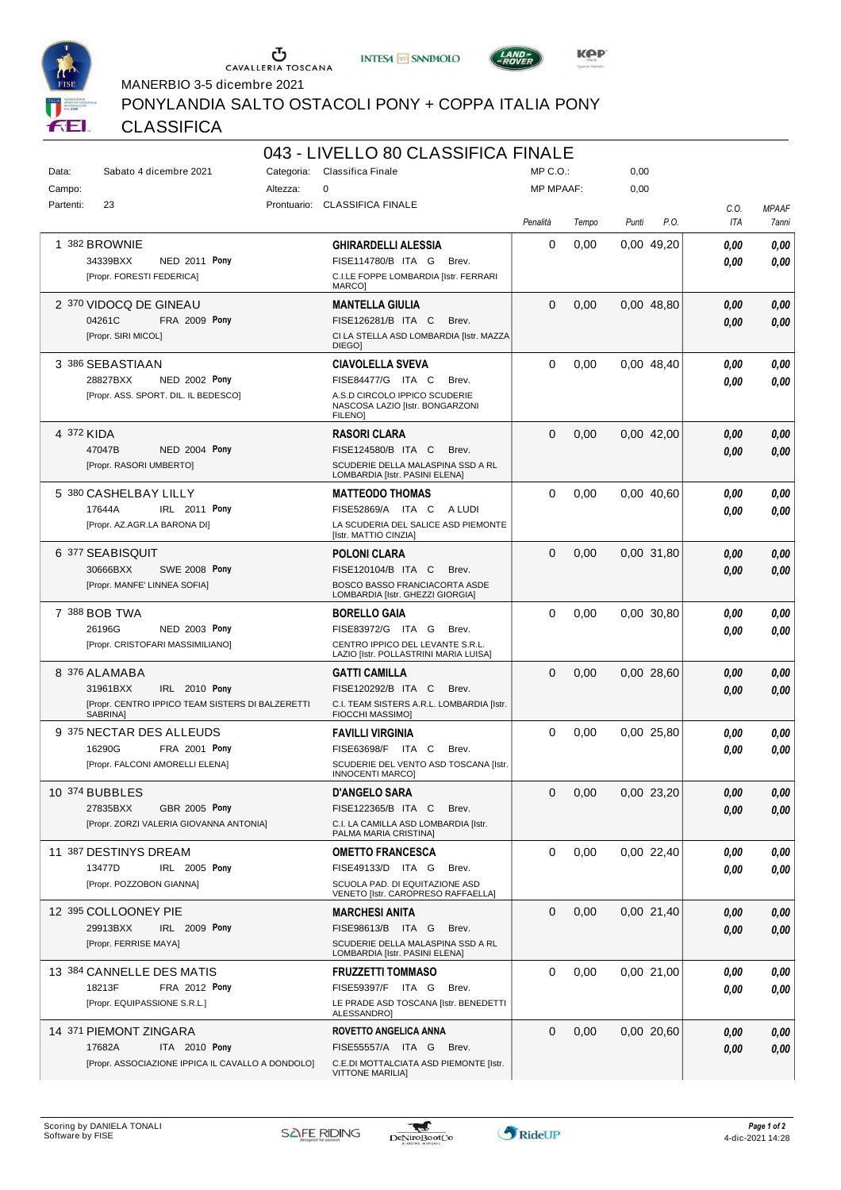





MANERBIO 3-5 dicembre 2021

PONYLANDIA SALTO OSTACOLI PONY + COPPA ITALIA PONY

#### CLASSIFICA

| $\mathbf 0$<br><b>MP MPAAF:</b><br>0,00<br>Altezza:<br>Campo:<br>Prontuario: CLASSIFICA FINALE<br>Partenti:<br>23<br><b>MPAAF</b><br>C.O.<br>P.O.<br>ITA<br>Penalità<br>Tempo<br>Punti<br>7anni<br>1 382 BROWNIE<br>0<br>0,00 49,20<br>0,00<br><b>GHIRARDELLI ALESSIA</b><br>0,00<br>0.00<br>34339BXX<br>NED 2011 Pony<br>FISE114780/B ITA G<br>Brev.<br>0.00<br>0,00<br>C.I.LE FOPPE LOMBARDIA [Istr. FERRARI<br>[Propr. FORESTI FEDERICA]<br><b>MARCO</b><br>2 370 VIDOCQ DE GINEAU<br><b>MANTELLA GIULIA</b><br>$\Omega$<br>0,00<br>0,00 48,80<br>0,00<br>0,00<br>FISE126281/B ITA C<br>04261C<br>FRA 2009 Pony<br>Brev.<br>0,00<br>0.00<br>CI LA STELLA ASD LOMBARDIA [Istr. MAZZA<br>[Propr. SIRI MICOL]<br><b>DIEGOI</b><br>3 386 SEBASTIAAN<br>$\Omega$<br>0,00<br>0,00 48,40<br><b>CIAVOLELLA SVEVA</b><br>0.00<br>0,00<br>28827BXX<br>NED 2002 Pony<br>FISE84477/G ITA C<br>Brev.<br>0.00<br>0,00<br>A.S.D CIRCOLO IPPICO SCUDERIE<br>[Propr. ASS. SPORT. DIL. IL BEDESCO]<br>NASCOSA LAZIO [Istr. BONGARZONI<br><b>FILENO]</b><br>4 372 KIDA<br><b>RASORI CLARA</b><br>$\Omega$<br>0,00<br>0.00 42.00<br>0,00<br>0,00<br><b>NED 2004 Pony</b><br>47047B<br>FISE124580/B ITA C<br>Brev.<br>0.00<br>0,00<br>SCUDERIE DELLA MALASPINA SSD A RL<br>[Propr. RASORI UMBERTO]<br>LOMBARDIA [Istr. PASINI ELENA]<br>5 380 CASHELBAY LILLY<br>$\Omega$<br>0,00<br>0,00 40,60<br>0,00<br><b>MATTEODO THOMAS</b><br>0.00<br>17644A<br>FISE52869/A ITA C<br>IRL 2011 Pony<br>A LUDI<br>0,00<br>0.00<br>[Propr. AZ.AGR.LA BARONA DI]<br>LA SCUDERIA DEL SALICE ASD PIEMONTE<br>[Istr. MATTIO CINZIA]<br>6 377 SEABISQUIT<br>$\Omega$<br>0,00<br>0.00 31,80<br><b>POLONI CLARA</b><br>0.00<br>0,00<br>30666BXX<br><b>SWE 2008 Pony</b><br>FISE120104/B ITA C<br>Brev.<br>0,00<br>0.00<br>[Propr. MANFE' LINNEA SOFIA]<br>BOSCO BASSO FRANCIACORTA ASDE<br>LOMBARDIA [Istr. GHEZZI GIORGIA]<br>7 388 BOB TWA<br>$\Omega$<br>0,00<br>0.00 30.80<br>0,00<br>BORELLO GAIA<br>0.00<br>26196G<br>NED 2003 Pony<br>FISE83972/G ITA G<br>Brev.<br>0,00<br>0.00<br>CENTRO IPPICO DEL LEVANTE S.R.L.<br>[Propr. CRISTOFARI MASSIMILIANO]<br>LAZIO [Istr. POLLASTRINI MARIA LUISA]<br>8 376 ALAMABA<br>$\Omega$<br>0,00<br>0,00 28,60<br>GATTI CAMILLA<br>0,00<br>0,00<br>FISE120292/B ITA C<br>31961BXX<br>IRL 2010 Pony<br>Brev.<br>0,00<br>0,00<br>[Propr. CENTRO IPPICO TEAM SISTERS DI BALZERETTI<br>C.I. TEAM SISTERS A.R.L. LOMBARDIA [Istr.<br>SABRINA]<br><b>FIOCCHI MASSIMO]</b><br>9 375 NECTAR DES ALLEUDS<br><b>FAVILLI VIRGINIA</b><br>$\Omega$<br>0,00<br>0,00 25,80<br>0,00<br>0,00<br>FRA 2001 Pony<br>FISE63698/F ITA C<br>16290G<br>Brev.<br>0.00<br>0.00<br>[Propr. FALCONI AMORELLI ELENA]<br>SCUDERIE DEL VENTO ASD TOSCANA [Istr.<br><b>INNOCENTI MARCO]</b><br>10 374 BUBBLES<br><b>D'ANGELO SARA</b><br>0<br>0,00<br>0,00 23,20<br>0,00<br>0,00<br>27835BXX<br>GBR 2005 Pony<br>FISE122365/B ITA C<br>Brev.<br>0,00<br>0,00<br>[Propr. ZORZI VALERIA GIOVANNA ANTONIA]<br>C.I. LA CAMILLA ASD LOMBARDIA [Istr.<br>PALMA MARIA CRISTINA]<br>11 387 DESTINYS DREAM<br>0<br>0,00<br>0,00 22,40<br><b>OMETTO FRANCESCA</b><br>0.00<br>0,00<br>13477D<br>IRL 2005 Pony<br>FISE49133/D ITA G<br>Brev.<br>0,00<br>0,00<br>[Propr. POZZOBON GIANNA]<br>SCUOLA PAD. DI EQUITAZIONE ASD<br>VENETO [Istr. CAROPRESO RAFFAELLA]<br>12 395 COLLOONEY PIE<br>0<br>0,00<br>0,00 21,40<br>MARCHESI ANITA<br>0,00<br>0,00<br>IRL 2009 Pony<br>FISE98613/B ITA G<br>29913BXX<br>Brev.<br>0,00<br>0,00<br>[Propr. FERRISE MAYA]<br>SCUDERIE DELLA MALASPINA SSD A RL<br>LOMBARDIA [Istr. PASINI ELENA]<br>13 384 CANNELLE DES MATIS<br>0<br>0,00<br>0,00 21,00<br><b>FRUZZETTI TOMMASO</b><br>0,00<br>0.00<br>18213F<br>FRA 2012 Pony<br>FISE59397/F ITA G<br>Brev.<br>0,00<br>0,00<br>[Propr. EQUIPASSIONE S.R.L.]<br>LE PRADE ASD TOSCANA [Istr. BENEDETTI<br>ALESSANDRO]<br>14 371 PIEMONT ZINGARA<br>ROVETTO ANGELICA ANNA<br>0<br>0,00<br>0,00 20,60<br>0,00<br>0,00<br>17682A<br>ITA 2010 Pony<br>FISE55557/A ITA G<br>Brev.<br>0.00<br>0,00<br>[Propr. ASSOCIAZIONE IPPICA IL CAVALLO A DONDOLO]<br>C.E.DI MOTTALCIATA ASD PIEMONTE [Istr. | Data: | Sabato 4 dicembre 2021 | Categoria: | 043 - LIVELLO 80 CLASSIFICA FINALE<br>Classifica Finale | MP C.O. | 0,00 |  |
|------------------------------------------------------------------------------------------------------------------------------------------------------------------------------------------------------------------------------------------------------------------------------------------------------------------------------------------------------------------------------------------------------------------------------------------------------------------------------------------------------------------------------------------------------------------------------------------------------------------------------------------------------------------------------------------------------------------------------------------------------------------------------------------------------------------------------------------------------------------------------------------------------------------------------------------------------------------------------------------------------------------------------------------------------------------------------------------------------------------------------------------------------------------------------------------------------------------------------------------------------------------------------------------------------------------------------------------------------------------------------------------------------------------------------------------------------------------------------------------------------------------------------------------------------------------------------------------------------------------------------------------------------------------------------------------------------------------------------------------------------------------------------------------------------------------------------------------------------------------------------------------------------------------------------------------------------------------------------------------------------------------------------------------------------------------------------------------------------------------------------------------------------------------------------------------------------------------------------------------------------------------------------------------------------------------------------------------------------------------------------------------------------------------------------------------------------------------------------------------------------------------------------------------------------------------------------------------------------------------------------------------------------------------------------------------------------------------------------------------------------------------------------------------------------------------------------------------------------------------------------------------------------------------------------------------------------------------------------------------------------------------------------------------------------------------------------------------------------------------------------------------------------------------------------------------------------------------------------------------------------------------------------------------------------------------------------------------------------------------------------------------------------------------------------------------------------------------------------------------------------------------------------------------------------------------------------------------------------------------------------------------------------------------------------------------------------------------------------------------------------------------------------------------------------------------------------------------------------------------------------------------------------------------------------------------------------------------------------------------------------------------------------------------------------------------------------------------------------------------------------------------|-------|------------------------|------------|---------------------------------------------------------|---------|------|--|
|                                                                                                                                                                                                                                                                                                                                                                                                                                                                                                                                                                                                                                                                                                                                                                                                                                                                                                                                                                                                                                                                                                                                                                                                                                                                                                                                                                                                                                                                                                                                                                                                                                                                                                                                                                                                                                                                                                                                                                                                                                                                                                                                                                                                                                                                                                                                                                                                                                                                                                                                                                                                                                                                                                                                                                                                                                                                                                                                                                                                                                                                                                                                                                                                                                                                                                                                                                                                                                                                                                                                                                                                                                                                                                                                                                                                                                                                                                                                                                                                                                                                                                                                          |       |                        |            |                                                         |         |      |  |
|                                                                                                                                                                                                                                                                                                                                                                                                                                                                                                                                                                                                                                                                                                                                                                                                                                                                                                                                                                                                                                                                                                                                                                                                                                                                                                                                                                                                                                                                                                                                                                                                                                                                                                                                                                                                                                                                                                                                                                                                                                                                                                                                                                                                                                                                                                                                                                                                                                                                                                                                                                                                                                                                                                                                                                                                                                                                                                                                                                                                                                                                                                                                                                                                                                                                                                                                                                                                                                                                                                                                                                                                                                                                                                                                                                                                                                                                                                                                                                                                                                                                                                                                          |       |                        |            |                                                         |         |      |  |
|                                                                                                                                                                                                                                                                                                                                                                                                                                                                                                                                                                                                                                                                                                                                                                                                                                                                                                                                                                                                                                                                                                                                                                                                                                                                                                                                                                                                                                                                                                                                                                                                                                                                                                                                                                                                                                                                                                                                                                                                                                                                                                                                                                                                                                                                                                                                                                                                                                                                                                                                                                                                                                                                                                                                                                                                                                                                                                                                                                                                                                                                                                                                                                                                                                                                                                                                                                                                                                                                                                                                                                                                                                                                                                                                                                                                                                                                                                                                                                                                                                                                                                                                          |       |                        |            |                                                         |         |      |  |
|                                                                                                                                                                                                                                                                                                                                                                                                                                                                                                                                                                                                                                                                                                                                                                                                                                                                                                                                                                                                                                                                                                                                                                                                                                                                                                                                                                                                                                                                                                                                                                                                                                                                                                                                                                                                                                                                                                                                                                                                                                                                                                                                                                                                                                                                                                                                                                                                                                                                                                                                                                                                                                                                                                                                                                                                                                                                                                                                                                                                                                                                                                                                                                                                                                                                                                                                                                                                                                                                                                                                                                                                                                                                                                                                                                                                                                                                                                                                                                                                                                                                                                                                          |       |                        |            |                                                         |         |      |  |
|                                                                                                                                                                                                                                                                                                                                                                                                                                                                                                                                                                                                                                                                                                                                                                                                                                                                                                                                                                                                                                                                                                                                                                                                                                                                                                                                                                                                                                                                                                                                                                                                                                                                                                                                                                                                                                                                                                                                                                                                                                                                                                                                                                                                                                                                                                                                                                                                                                                                                                                                                                                                                                                                                                                                                                                                                                                                                                                                                                                                                                                                                                                                                                                                                                                                                                                                                                                                                                                                                                                                                                                                                                                                                                                                                                                                                                                                                                                                                                                                                                                                                                                                          |       |                        |            |                                                         |         |      |  |
|                                                                                                                                                                                                                                                                                                                                                                                                                                                                                                                                                                                                                                                                                                                                                                                                                                                                                                                                                                                                                                                                                                                                                                                                                                                                                                                                                                                                                                                                                                                                                                                                                                                                                                                                                                                                                                                                                                                                                                                                                                                                                                                                                                                                                                                                                                                                                                                                                                                                                                                                                                                                                                                                                                                                                                                                                                                                                                                                                                                                                                                                                                                                                                                                                                                                                                                                                                                                                                                                                                                                                                                                                                                                                                                                                                                                                                                                                                                                                                                                                                                                                                                                          |       |                        |            |                                                         |         |      |  |
|                                                                                                                                                                                                                                                                                                                                                                                                                                                                                                                                                                                                                                                                                                                                                                                                                                                                                                                                                                                                                                                                                                                                                                                                                                                                                                                                                                                                                                                                                                                                                                                                                                                                                                                                                                                                                                                                                                                                                                                                                                                                                                                                                                                                                                                                                                                                                                                                                                                                                                                                                                                                                                                                                                                                                                                                                                                                                                                                                                                                                                                                                                                                                                                                                                                                                                                                                                                                                                                                                                                                                                                                                                                                                                                                                                                                                                                                                                                                                                                                                                                                                                                                          |       |                        |            |                                                         |         |      |  |
|                                                                                                                                                                                                                                                                                                                                                                                                                                                                                                                                                                                                                                                                                                                                                                                                                                                                                                                                                                                                                                                                                                                                                                                                                                                                                                                                                                                                                                                                                                                                                                                                                                                                                                                                                                                                                                                                                                                                                                                                                                                                                                                                                                                                                                                                                                                                                                                                                                                                                                                                                                                                                                                                                                                                                                                                                                                                                                                                                                                                                                                                                                                                                                                                                                                                                                                                                                                                                                                                                                                                                                                                                                                                                                                                                                                                                                                                                                                                                                                                                                                                                                                                          |       |                        |            |                                                         |         |      |  |
|                                                                                                                                                                                                                                                                                                                                                                                                                                                                                                                                                                                                                                                                                                                                                                                                                                                                                                                                                                                                                                                                                                                                                                                                                                                                                                                                                                                                                                                                                                                                                                                                                                                                                                                                                                                                                                                                                                                                                                                                                                                                                                                                                                                                                                                                                                                                                                                                                                                                                                                                                                                                                                                                                                                                                                                                                                                                                                                                                                                                                                                                                                                                                                                                                                                                                                                                                                                                                                                                                                                                                                                                                                                                                                                                                                                                                                                                                                                                                                                                                                                                                                                                          |       |                        |            |                                                         |         |      |  |
|                                                                                                                                                                                                                                                                                                                                                                                                                                                                                                                                                                                                                                                                                                                                                                                                                                                                                                                                                                                                                                                                                                                                                                                                                                                                                                                                                                                                                                                                                                                                                                                                                                                                                                                                                                                                                                                                                                                                                                                                                                                                                                                                                                                                                                                                                                                                                                                                                                                                                                                                                                                                                                                                                                                                                                                                                                                                                                                                                                                                                                                                                                                                                                                                                                                                                                                                                                                                                                                                                                                                                                                                                                                                                                                                                                                                                                                                                                                                                                                                                                                                                                                                          |       |                        |            |                                                         |         |      |  |
|                                                                                                                                                                                                                                                                                                                                                                                                                                                                                                                                                                                                                                                                                                                                                                                                                                                                                                                                                                                                                                                                                                                                                                                                                                                                                                                                                                                                                                                                                                                                                                                                                                                                                                                                                                                                                                                                                                                                                                                                                                                                                                                                                                                                                                                                                                                                                                                                                                                                                                                                                                                                                                                                                                                                                                                                                                                                                                                                                                                                                                                                                                                                                                                                                                                                                                                                                                                                                                                                                                                                                                                                                                                                                                                                                                                                                                                                                                                                                                                                                                                                                                                                          |       |                        |            |                                                         |         |      |  |
|                                                                                                                                                                                                                                                                                                                                                                                                                                                                                                                                                                                                                                                                                                                                                                                                                                                                                                                                                                                                                                                                                                                                                                                                                                                                                                                                                                                                                                                                                                                                                                                                                                                                                                                                                                                                                                                                                                                                                                                                                                                                                                                                                                                                                                                                                                                                                                                                                                                                                                                                                                                                                                                                                                                                                                                                                                                                                                                                                                                                                                                                                                                                                                                                                                                                                                                                                                                                                                                                                                                                                                                                                                                                                                                                                                                                                                                                                                                                                                                                                                                                                                                                          |       |                        |            |                                                         |         |      |  |
|                                                                                                                                                                                                                                                                                                                                                                                                                                                                                                                                                                                                                                                                                                                                                                                                                                                                                                                                                                                                                                                                                                                                                                                                                                                                                                                                                                                                                                                                                                                                                                                                                                                                                                                                                                                                                                                                                                                                                                                                                                                                                                                                                                                                                                                                                                                                                                                                                                                                                                                                                                                                                                                                                                                                                                                                                                                                                                                                                                                                                                                                                                                                                                                                                                                                                                                                                                                                                                                                                                                                                                                                                                                                                                                                                                                                                                                                                                                                                                                                                                                                                                                                          |       |                        |            |                                                         |         |      |  |
|                                                                                                                                                                                                                                                                                                                                                                                                                                                                                                                                                                                                                                                                                                                                                                                                                                                                                                                                                                                                                                                                                                                                                                                                                                                                                                                                                                                                                                                                                                                                                                                                                                                                                                                                                                                                                                                                                                                                                                                                                                                                                                                                                                                                                                                                                                                                                                                                                                                                                                                                                                                                                                                                                                                                                                                                                                                                                                                                                                                                                                                                                                                                                                                                                                                                                                                                                                                                                                                                                                                                                                                                                                                                                                                                                                                                                                                                                                                                                                                                                                                                                                                                          |       |                        |            |                                                         |         |      |  |
|                                                                                                                                                                                                                                                                                                                                                                                                                                                                                                                                                                                                                                                                                                                                                                                                                                                                                                                                                                                                                                                                                                                                                                                                                                                                                                                                                                                                                                                                                                                                                                                                                                                                                                                                                                                                                                                                                                                                                                                                                                                                                                                                                                                                                                                                                                                                                                                                                                                                                                                                                                                                                                                                                                                                                                                                                                                                                                                                                                                                                                                                                                                                                                                                                                                                                                                                                                                                                                                                                                                                                                                                                                                                                                                                                                                                                                                                                                                                                                                                                                                                                                                                          |       |                        |            |                                                         |         |      |  |
|                                                                                                                                                                                                                                                                                                                                                                                                                                                                                                                                                                                                                                                                                                                                                                                                                                                                                                                                                                                                                                                                                                                                                                                                                                                                                                                                                                                                                                                                                                                                                                                                                                                                                                                                                                                                                                                                                                                                                                                                                                                                                                                                                                                                                                                                                                                                                                                                                                                                                                                                                                                                                                                                                                                                                                                                                                                                                                                                                                                                                                                                                                                                                                                                                                                                                                                                                                                                                                                                                                                                                                                                                                                                                                                                                                                                                                                                                                                                                                                                                                                                                                                                          |       |                        |            |                                                         |         |      |  |
|                                                                                                                                                                                                                                                                                                                                                                                                                                                                                                                                                                                                                                                                                                                                                                                                                                                                                                                                                                                                                                                                                                                                                                                                                                                                                                                                                                                                                                                                                                                                                                                                                                                                                                                                                                                                                                                                                                                                                                                                                                                                                                                                                                                                                                                                                                                                                                                                                                                                                                                                                                                                                                                                                                                                                                                                                                                                                                                                                                                                                                                                                                                                                                                                                                                                                                                                                                                                                                                                                                                                                                                                                                                                                                                                                                                                                                                                                                                                                                                                                                                                                                                                          |       |                        |            |                                                         |         |      |  |
|                                                                                                                                                                                                                                                                                                                                                                                                                                                                                                                                                                                                                                                                                                                                                                                                                                                                                                                                                                                                                                                                                                                                                                                                                                                                                                                                                                                                                                                                                                                                                                                                                                                                                                                                                                                                                                                                                                                                                                                                                                                                                                                                                                                                                                                                                                                                                                                                                                                                                                                                                                                                                                                                                                                                                                                                                                                                                                                                                                                                                                                                                                                                                                                                                                                                                                                                                                                                                                                                                                                                                                                                                                                                                                                                                                                                                                                                                                                                                                                                                                                                                                                                          |       |                        |            |                                                         |         |      |  |
|                                                                                                                                                                                                                                                                                                                                                                                                                                                                                                                                                                                                                                                                                                                                                                                                                                                                                                                                                                                                                                                                                                                                                                                                                                                                                                                                                                                                                                                                                                                                                                                                                                                                                                                                                                                                                                                                                                                                                                                                                                                                                                                                                                                                                                                                                                                                                                                                                                                                                                                                                                                                                                                                                                                                                                                                                                                                                                                                                                                                                                                                                                                                                                                                                                                                                                                                                                                                                                                                                                                                                                                                                                                                                                                                                                                                                                                                                                                                                                                                                                                                                                                                          |       |                        |            |                                                         |         |      |  |
|                                                                                                                                                                                                                                                                                                                                                                                                                                                                                                                                                                                                                                                                                                                                                                                                                                                                                                                                                                                                                                                                                                                                                                                                                                                                                                                                                                                                                                                                                                                                                                                                                                                                                                                                                                                                                                                                                                                                                                                                                                                                                                                                                                                                                                                                                                                                                                                                                                                                                                                                                                                                                                                                                                                                                                                                                                                                                                                                                                                                                                                                                                                                                                                                                                                                                                                                                                                                                                                                                                                                                                                                                                                                                                                                                                                                                                                                                                                                                                                                                                                                                                                                          |       |                        |            |                                                         |         |      |  |
|                                                                                                                                                                                                                                                                                                                                                                                                                                                                                                                                                                                                                                                                                                                                                                                                                                                                                                                                                                                                                                                                                                                                                                                                                                                                                                                                                                                                                                                                                                                                                                                                                                                                                                                                                                                                                                                                                                                                                                                                                                                                                                                                                                                                                                                                                                                                                                                                                                                                                                                                                                                                                                                                                                                                                                                                                                                                                                                                                                                                                                                                                                                                                                                                                                                                                                                                                                                                                                                                                                                                                                                                                                                                                                                                                                                                                                                                                                                                                                                                                                                                                                                                          |       |                        |            |                                                         |         |      |  |
|                                                                                                                                                                                                                                                                                                                                                                                                                                                                                                                                                                                                                                                                                                                                                                                                                                                                                                                                                                                                                                                                                                                                                                                                                                                                                                                                                                                                                                                                                                                                                                                                                                                                                                                                                                                                                                                                                                                                                                                                                                                                                                                                                                                                                                                                                                                                                                                                                                                                                                                                                                                                                                                                                                                                                                                                                                                                                                                                                                                                                                                                                                                                                                                                                                                                                                                                                                                                                                                                                                                                                                                                                                                                                                                                                                                                                                                                                                                                                                                                                                                                                                                                          |       |                        |            |                                                         |         |      |  |
|                                                                                                                                                                                                                                                                                                                                                                                                                                                                                                                                                                                                                                                                                                                                                                                                                                                                                                                                                                                                                                                                                                                                                                                                                                                                                                                                                                                                                                                                                                                                                                                                                                                                                                                                                                                                                                                                                                                                                                                                                                                                                                                                                                                                                                                                                                                                                                                                                                                                                                                                                                                                                                                                                                                                                                                                                                                                                                                                                                                                                                                                                                                                                                                                                                                                                                                                                                                                                                                                                                                                                                                                                                                                                                                                                                                                                                                                                                                                                                                                                                                                                                                                          |       |                        |            |                                                         |         |      |  |
|                                                                                                                                                                                                                                                                                                                                                                                                                                                                                                                                                                                                                                                                                                                                                                                                                                                                                                                                                                                                                                                                                                                                                                                                                                                                                                                                                                                                                                                                                                                                                                                                                                                                                                                                                                                                                                                                                                                                                                                                                                                                                                                                                                                                                                                                                                                                                                                                                                                                                                                                                                                                                                                                                                                                                                                                                                                                                                                                                                                                                                                                                                                                                                                                                                                                                                                                                                                                                                                                                                                                                                                                                                                                                                                                                                                                                                                                                                                                                                                                                                                                                                                                          |       |                        |            |                                                         |         |      |  |
|                                                                                                                                                                                                                                                                                                                                                                                                                                                                                                                                                                                                                                                                                                                                                                                                                                                                                                                                                                                                                                                                                                                                                                                                                                                                                                                                                                                                                                                                                                                                                                                                                                                                                                                                                                                                                                                                                                                                                                                                                                                                                                                                                                                                                                                                                                                                                                                                                                                                                                                                                                                                                                                                                                                                                                                                                                                                                                                                                                                                                                                                                                                                                                                                                                                                                                                                                                                                                                                                                                                                                                                                                                                                                                                                                                                                                                                                                                                                                                                                                                                                                                                                          |       |                        |            |                                                         |         |      |  |
|                                                                                                                                                                                                                                                                                                                                                                                                                                                                                                                                                                                                                                                                                                                                                                                                                                                                                                                                                                                                                                                                                                                                                                                                                                                                                                                                                                                                                                                                                                                                                                                                                                                                                                                                                                                                                                                                                                                                                                                                                                                                                                                                                                                                                                                                                                                                                                                                                                                                                                                                                                                                                                                                                                                                                                                                                                                                                                                                                                                                                                                                                                                                                                                                                                                                                                                                                                                                                                                                                                                                                                                                                                                                                                                                                                                                                                                                                                                                                                                                                                                                                                                                          |       |                        |            |                                                         |         |      |  |
|                                                                                                                                                                                                                                                                                                                                                                                                                                                                                                                                                                                                                                                                                                                                                                                                                                                                                                                                                                                                                                                                                                                                                                                                                                                                                                                                                                                                                                                                                                                                                                                                                                                                                                                                                                                                                                                                                                                                                                                                                                                                                                                                                                                                                                                                                                                                                                                                                                                                                                                                                                                                                                                                                                                                                                                                                                                                                                                                                                                                                                                                                                                                                                                                                                                                                                                                                                                                                                                                                                                                                                                                                                                                                                                                                                                                                                                                                                                                                                                                                                                                                                                                          |       |                        |            |                                                         |         |      |  |
|                                                                                                                                                                                                                                                                                                                                                                                                                                                                                                                                                                                                                                                                                                                                                                                                                                                                                                                                                                                                                                                                                                                                                                                                                                                                                                                                                                                                                                                                                                                                                                                                                                                                                                                                                                                                                                                                                                                                                                                                                                                                                                                                                                                                                                                                                                                                                                                                                                                                                                                                                                                                                                                                                                                                                                                                                                                                                                                                                                                                                                                                                                                                                                                                                                                                                                                                                                                                                                                                                                                                                                                                                                                                                                                                                                                                                                                                                                                                                                                                                                                                                                                                          |       |                        |            |                                                         |         |      |  |
|                                                                                                                                                                                                                                                                                                                                                                                                                                                                                                                                                                                                                                                                                                                                                                                                                                                                                                                                                                                                                                                                                                                                                                                                                                                                                                                                                                                                                                                                                                                                                                                                                                                                                                                                                                                                                                                                                                                                                                                                                                                                                                                                                                                                                                                                                                                                                                                                                                                                                                                                                                                                                                                                                                                                                                                                                                                                                                                                                                                                                                                                                                                                                                                                                                                                                                                                                                                                                                                                                                                                                                                                                                                                                                                                                                                                                                                                                                                                                                                                                                                                                                                                          |       |                        |            |                                                         |         |      |  |
|                                                                                                                                                                                                                                                                                                                                                                                                                                                                                                                                                                                                                                                                                                                                                                                                                                                                                                                                                                                                                                                                                                                                                                                                                                                                                                                                                                                                                                                                                                                                                                                                                                                                                                                                                                                                                                                                                                                                                                                                                                                                                                                                                                                                                                                                                                                                                                                                                                                                                                                                                                                                                                                                                                                                                                                                                                                                                                                                                                                                                                                                                                                                                                                                                                                                                                                                                                                                                                                                                                                                                                                                                                                                                                                                                                                                                                                                                                                                                                                                                                                                                                                                          |       |                        |            |                                                         |         |      |  |
|                                                                                                                                                                                                                                                                                                                                                                                                                                                                                                                                                                                                                                                                                                                                                                                                                                                                                                                                                                                                                                                                                                                                                                                                                                                                                                                                                                                                                                                                                                                                                                                                                                                                                                                                                                                                                                                                                                                                                                                                                                                                                                                                                                                                                                                                                                                                                                                                                                                                                                                                                                                                                                                                                                                                                                                                                                                                                                                                                                                                                                                                                                                                                                                                                                                                                                                                                                                                                                                                                                                                                                                                                                                                                                                                                                                                                                                                                                                                                                                                                                                                                                                                          |       |                        |            |                                                         |         |      |  |
|                                                                                                                                                                                                                                                                                                                                                                                                                                                                                                                                                                                                                                                                                                                                                                                                                                                                                                                                                                                                                                                                                                                                                                                                                                                                                                                                                                                                                                                                                                                                                                                                                                                                                                                                                                                                                                                                                                                                                                                                                                                                                                                                                                                                                                                                                                                                                                                                                                                                                                                                                                                                                                                                                                                                                                                                                                                                                                                                                                                                                                                                                                                                                                                                                                                                                                                                                                                                                                                                                                                                                                                                                                                                                                                                                                                                                                                                                                                                                                                                                                                                                                                                          |       |                        |            |                                                         |         |      |  |
|                                                                                                                                                                                                                                                                                                                                                                                                                                                                                                                                                                                                                                                                                                                                                                                                                                                                                                                                                                                                                                                                                                                                                                                                                                                                                                                                                                                                                                                                                                                                                                                                                                                                                                                                                                                                                                                                                                                                                                                                                                                                                                                                                                                                                                                                                                                                                                                                                                                                                                                                                                                                                                                                                                                                                                                                                                                                                                                                                                                                                                                                                                                                                                                                                                                                                                                                                                                                                                                                                                                                                                                                                                                                                                                                                                                                                                                                                                                                                                                                                                                                                                                                          |       |                        |            |                                                         |         |      |  |
|                                                                                                                                                                                                                                                                                                                                                                                                                                                                                                                                                                                                                                                                                                                                                                                                                                                                                                                                                                                                                                                                                                                                                                                                                                                                                                                                                                                                                                                                                                                                                                                                                                                                                                                                                                                                                                                                                                                                                                                                                                                                                                                                                                                                                                                                                                                                                                                                                                                                                                                                                                                                                                                                                                                                                                                                                                                                                                                                                                                                                                                                                                                                                                                                                                                                                                                                                                                                                                                                                                                                                                                                                                                                                                                                                                                                                                                                                                                                                                                                                                                                                                                                          |       |                        |            |                                                         |         |      |  |
|                                                                                                                                                                                                                                                                                                                                                                                                                                                                                                                                                                                                                                                                                                                                                                                                                                                                                                                                                                                                                                                                                                                                                                                                                                                                                                                                                                                                                                                                                                                                                                                                                                                                                                                                                                                                                                                                                                                                                                                                                                                                                                                                                                                                                                                                                                                                                                                                                                                                                                                                                                                                                                                                                                                                                                                                                                                                                                                                                                                                                                                                                                                                                                                                                                                                                                                                                                                                                                                                                                                                                                                                                                                                                                                                                                                                                                                                                                                                                                                                                                                                                                                                          |       |                        |            |                                                         |         |      |  |
|                                                                                                                                                                                                                                                                                                                                                                                                                                                                                                                                                                                                                                                                                                                                                                                                                                                                                                                                                                                                                                                                                                                                                                                                                                                                                                                                                                                                                                                                                                                                                                                                                                                                                                                                                                                                                                                                                                                                                                                                                                                                                                                                                                                                                                                                                                                                                                                                                                                                                                                                                                                                                                                                                                                                                                                                                                                                                                                                                                                                                                                                                                                                                                                                                                                                                                                                                                                                                                                                                                                                                                                                                                                                                                                                                                                                                                                                                                                                                                                                                                                                                                                                          |       |                        |            |                                                         |         |      |  |
|                                                                                                                                                                                                                                                                                                                                                                                                                                                                                                                                                                                                                                                                                                                                                                                                                                                                                                                                                                                                                                                                                                                                                                                                                                                                                                                                                                                                                                                                                                                                                                                                                                                                                                                                                                                                                                                                                                                                                                                                                                                                                                                                                                                                                                                                                                                                                                                                                                                                                                                                                                                                                                                                                                                                                                                                                                                                                                                                                                                                                                                                                                                                                                                                                                                                                                                                                                                                                                                                                                                                                                                                                                                                                                                                                                                                                                                                                                                                                                                                                                                                                                                                          |       |                        |            |                                                         |         |      |  |
|                                                                                                                                                                                                                                                                                                                                                                                                                                                                                                                                                                                                                                                                                                                                                                                                                                                                                                                                                                                                                                                                                                                                                                                                                                                                                                                                                                                                                                                                                                                                                                                                                                                                                                                                                                                                                                                                                                                                                                                                                                                                                                                                                                                                                                                                                                                                                                                                                                                                                                                                                                                                                                                                                                                                                                                                                                                                                                                                                                                                                                                                                                                                                                                                                                                                                                                                                                                                                                                                                                                                                                                                                                                                                                                                                                                                                                                                                                                                                                                                                                                                                                                                          |       |                        |            |                                                         |         |      |  |
|                                                                                                                                                                                                                                                                                                                                                                                                                                                                                                                                                                                                                                                                                                                                                                                                                                                                                                                                                                                                                                                                                                                                                                                                                                                                                                                                                                                                                                                                                                                                                                                                                                                                                                                                                                                                                                                                                                                                                                                                                                                                                                                                                                                                                                                                                                                                                                                                                                                                                                                                                                                                                                                                                                                                                                                                                                                                                                                                                                                                                                                                                                                                                                                                                                                                                                                                                                                                                                                                                                                                                                                                                                                                                                                                                                                                                                                                                                                                                                                                                                                                                                                                          |       |                        |            |                                                         |         |      |  |
|                                                                                                                                                                                                                                                                                                                                                                                                                                                                                                                                                                                                                                                                                                                                                                                                                                                                                                                                                                                                                                                                                                                                                                                                                                                                                                                                                                                                                                                                                                                                                                                                                                                                                                                                                                                                                                                                                                                                                                                                                                                                                                                                                                                                                                                                                                                                                                                                                                                                                                                                                                                                                                                                                                                                                                                                                                                                                                                                                                                                                                                                                                                                                                                                                                                                                                                                                                                                                                                                                                                                                                                                                                                                                                                                                                                                                                                                                                                                                                                                                                                                                                                                          |       |                        |            |                                                         |         |      |  |
|                                                                                                                                                                                                                                                                                                                                                                                                                                                                                                                                                                                                                                                                                                                                                                                                                                                                                                                                                                                                                                                                                                                                                                                                                                                                                                                                                                                                                                                                                                                                                                                                                                                                                                                                                                                                                                                                                                                                                                                                                                                                                                                                                                                                                                                                                                                                                                                                                                                                                                                                                                                                                                                                                                                                                                                                                                                                                                                                                                                                                                                                                                                                                                                                                                                                                                                                                                                                                                                                                                                                                                                                                                                                                                                                                                                                                                                                                                                                                                                                                                                                                                                                          |       |                        |            |                                                         |         |      |  |
|                                                                                                                                                                                                                                                                                                                                                                                                                                                                                                                                                                                                                                                                                                                                                                                                                                                                                                                                                                                                                                                                                                                                                                                                                                                                                                                                                                                                                                                                                                                                                                                                                                                                                                                                                                                                                                                                                                                                                                                                                                                                                                                                                                                                                                                                                                                                                                                                                                                                                                                                                                                                                                                                                                                                                                                                                                                                                                                                                                                                                                                                                                                                                                                                                                                                                                                                                                                                                                                                                                                                                                                                                                                                                                                                                                                                                                                                                                                                                                                                                                                                                                                                          |       |                        |            |                                                         |         |      |  |
|                                                                                                                                                                                                                                                                                                                                                                                                                                                                                                                                                                                                                                                                                                                                                                                                                                                                                                                                                                                                                                                                                                                                                                                                                                                                                                                                                                                                                                                                                                                                                                                                                                                                                                                                                                                                                                                                                                                                                                                                                                                                                                                                                                                                                                                                                                                                                                                                                                                                                                                                                                                                                                                                                                                                                                                                                                                                                                                                                                                                                                                                                                                                                                                                                                                                                                                                                                                                                                                                                                                                                                                                                                                                                                                                                                                                                                                                                                                                                                                                                                                                                                                                          |       |                        |            |                                                         |         |      |  |
|                                                                                                                                                                                                                                                                                                                                                                                                                                                                                                                                                                                                                                                                                                                                                                                                                                                                                                                                                                                                                                                                                                                                                                                                                                                                                                                                                                                                                                                                                                                                                                                                                                                                                                                                                                                                                                                                                                                                                                                                                                                                                                                                                                                                                                                                                                                                                                                                                                                                                                                                                                                                                                                                                                                                                                                                                                                                                                                                                                                                                                                                                                                                                                                                                                                                                                                                                                                                                                                                                                                                                                                                                                                                                                                                                                                                                                                                                                                                                                                                                                                                                                                                          |       |                        |            |                                                         |         |      |  |
|                                                                                                                                                                                                                                                                                                                                                                                                                                                                                                                                                                                                                                                                                                                                                                                                                                                                                                                                                                                                                                                                                                                                                                                                                                                                                                                                                                                                                                                                                                                                                                                                                                                                                                                                                                                                                                                                                                                                                                                                                                                                                                                                                                                                                                                                                                                                                                                                                                                                                                                                                                                                                                                                                                                                                                                                                                                                                                                                                                                                                                                                                                                                                                                                                                                                                                                                                                                                                                                                                                                                                                                                                                                                                                                                                                                                                                                                                                                                                                                                                                                                                                                                          |       |                        |            |                                                         |         |      |  |
|                                                                                                                                                                                                                                                                                                                                                                                                                                                                                                                                                                                                                                                                                                                                                                                                                                                                                                                                                                                                                                                                                                                                                                                                                                                                                                                                                                                                                                                                                                                                                                                                                                                                                                                                                                                                                                                                                                                                                                                                                                                                                                                                                                                                                                                                                                                                                                                                                                                                                                                                                                                                                                                                                                                                                                                                                                                                                                                                                                                                                                                                                                                                                                                                                                                                                                                                                                                                                                                                                                                                                                                                                                                                                                                                                                                                                                                                                                                                                                                                                                                                                                                                          |       |                        |            |                                                         |         |      |  |
|                                                                                                                                                                                                                                                                                                                                                                                                                                                                                                                                                                                                                                                                                                                                                                                                                                                                                                                                                                                                                                                                                                                                                                                                                                                                                                                                                                                                                                                                                                                                                                                                                                                                                                                                                                                                                                                                                                                                                                                                                                                                                                                                                                                                                                                                                                                                                                                                                                                                                                                                                                                                                                                                                                                                                                                                                                                                                                                                                                                                                                                                                                                                                                                                                                                                                                                                                                                                                                                                                                                                                                                                                                                                                                                                                                                                                                                                                                                                                                                                                                                                                                                                          |       |                        |            | <b>VITTONE MARILIA]</b>                                 |         |      |  |